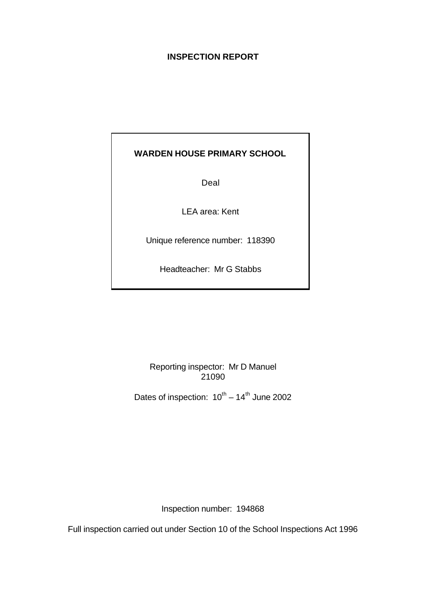# **INSPECTION REPORT**

# **WARDEN HOUSE PRIMARY SCHOOL**

Deal

LEA area: Kent

Unique reference number: 118390

Headteacher: Mr G Stabbs

Reporting inspector: Mr D Manuel 21090

Dates of inspection:  $10^{th} - 14^{th}$  June 2002

Inspection number: 194868

Full inspection carried out under Section 10 of the School Inspections Act 1996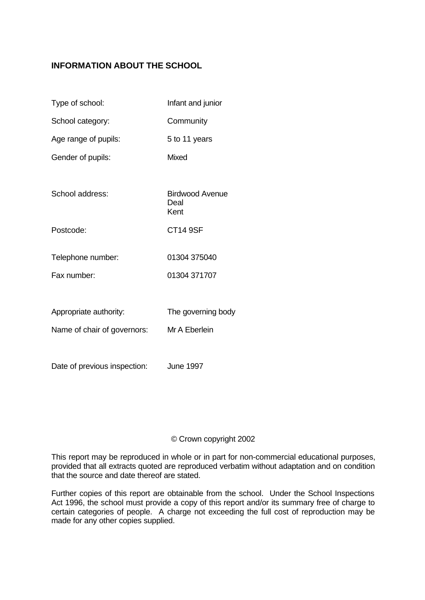# **INFORMATION ABOUT THE SCHOOL**

| Type of school:              | Infant and junior                      |
|------------------------------|----------------------------------------|
| School category:             | Community                              |
| Age range of pupils:         | 5 to 11 years                          |
| Gender of pupils:            | <b>Mixed</b>                           |
|                              |                                        |
| School address:              | <b>Birdwood Avenue</b><br>Deal<br>Kent |
| Postcode:                    | <b>CT14 9SF</b>                        |
| Telephone number:            | 01304 375040                           |
| Fax number:                  | 01304 371707                           |
|                              |                                        |
| Appropriate authority:       | The governing body                     |
| Name of chair of governors:  | Mr A Eberlein                          |
|                              |                                        |
| Date of previous inspection: | <b>June 1997</b>                       |

## © Crown copyright 2002

This report may be reproduced in whole or in part for non-commercial educational purposes, provided that all extracts quoted are reproduced verbatim without adaptation and on condition that the source and date thereof are stated.

Further copies of this report are obtainable from the school. Under the School Inspections Act 1996, the school must provide a copy of this report and/or its summary free of charge to certain categories of people. A charge not exceeding the full cost of reproduction may be made for any other copies supplied.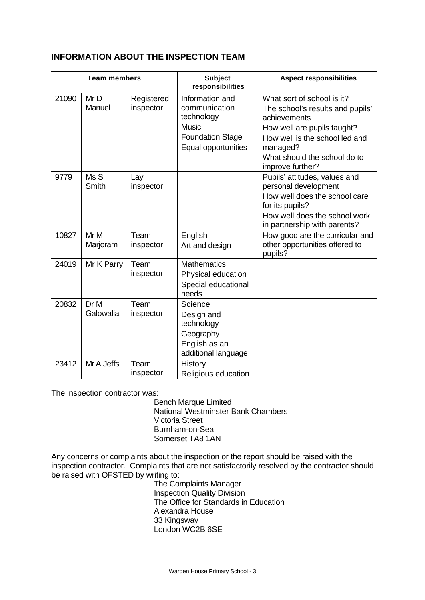## **INFORMATION ABOUT THE INSPECTION TEAM**

| <b>Team members</b> |                   | <b>Subject</b><br>responsibilities | <b>Aspect responsibilities</b>                                                                                   |                                                                                                                                                                                                                 |  |
|---------------------|-------------------|------------------------------------|------------------------------------------------------------------------------------------------------------------|-----------------------------------------------------------------------------------------------------------------------------------------------------------------------------------------------------------------|--|
| 21090               | Mr D<br>Manuel    | Registered<br>inspector            | Information and<br>communication<br>technology<br><b>Music</b><br><b>Foundation Stage</b><br>Equal opportunities | What sort of school is it?<br>The school's results and pupils'<br>achievements<br>How well are pupils taught?<br>How well is the school led and<br>managed?<br>What should the school do to<br>improve further? |  |
| 9779                | Ms S<br>Smith     | Lay<br>inspector                   |                                                                                                                  | Pupils' attitudes, values and<br>personal development<br>How well does the school care<br>for its pupils?<br>How well does the school work<br>in partnership with parents?                                      |  |
| 10827               | Mr M<br>Marjoram  | Team<br>inspector                  | English<br>Art and design                                                                                        | How good are the curricular and<br>other opportunities offered to<br>pupils?                                                                                                                                    |  |
| 24019               | Mr K Parry        | Team<br>inspector                  | <b>Mathematics</b><br>Physical education<br>Special educational<br>needs                                         |                                                                                                                                                                                                                 |  |
| 20832               | Dr M<br>Galowalia | Team<br>inspector                  | Science<br>Design and<br>technology<br>Geography<br>English as an<br>additional language                         |                                                                                                                                                                                                                 |  |
| 23412               | Mr A Jeffs        | Team<br>inspector                  | <b>History</b><br>Religious education                                                                            |                                                                                                                                                                                                                 |  |

The inspection contractor was:

Bench Marque Limited National Westminster Bank Chambers Victoria Street Burnham-on-Sea Somerset TA8 1AN

Any concerns or complaints about the inspection or the report should be raised with the inspection contractor. Complaints that are not satisfactorily resolved by the contractor should be raised with OFSTED by writing to:

The Complaints Manager Inspection Quality Division The Office for Standards in Education Alexandra House 33 Kingsway London WC2B 6SE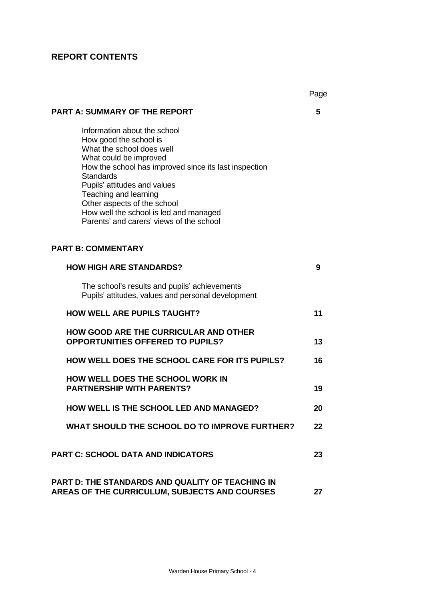# **REPORT CONTENTS**

|                                                                                                                                                                                                                                                                                                                                                                          | Page |
|--------------------------------------------------------------------------------------------------------------------------------------------------------------------------------------------------------------------------------------------------------------------------------------------------------------------------------------------------------------------------|------|
| <b>PART A: SUMMARY OF THE REPORT</b>                                                                                                                                                                                                                                                                                                                                     | 5    |
| Information about the school<br>How good the school is<br>What the school does well<br>What could be improved<br>How the school has improved since its last inspection<br><b>Standards</b><br>Pupils' attitudes and values<br>Teaching and learning<br>Other aspects of the school<br>How well the school is led and managed<br>Parents' and carers' views of the school |      |
| <b>PART B: COMMENTARY</b>                                                                                                                                                                                                                                                                                                                                                |      |
| <b>HOW HIGH ARE STANDARDS?</b>                                                                                                                                                                                                                                                                                                                                           | 9    |
| The school's results and pupils' achievements<br>Pupils' attitudes, values and personal development                                                                                                                                                                                                                                                                      |      |
| <b>HOW WELL ARE PUPILS TAUGHT?</b>                                                                                                                                                                                                                                                                                                                                       | 11   |
| <b>HOW GOOD ARE THE CURRICULAR AND OTHER</b><br><b>OPPORTUNITIES OFFERED TO PUPILS?</b>                                                                                                                                                                                                                                                                                  | 13   |
| <b>HOW WELL DOES THE SCHOOL CARE FOR ITS PUPILS?</b>                                                                                                                                                                                                                                                                                                                     | 16   |
| <b>HOW WELL DOES THE SCHOOL WORK IN</b><br><b>PARTNERSHIP WITH PARENTS?</b>                                                                                                                                                                                                                                                                                              | 19   |
| HOW WELL IS THE SCHOOL LED AND MANAGED?                                                                                                                                                                                                                                                                                                                                  | 20   |
| WHAT SHOULD THE SCHOOL DO TO IMPROVE FURTHER?                                                                                                                                                                                                                                                                                                                            | 22   |
| <b>PART C: SCHOOL DATA AND INDICATORS</b>                                                                                                                                                                                                                                                                                                                                | 23   |
| <b>PART D: THE STANDARDS AND QUALITY OF TEACHING IN</b><br>AREAS OF THE CURRICULUM, SUBJECTS AND COURSES                                                                                                                                                                                                                                                                 | 27   |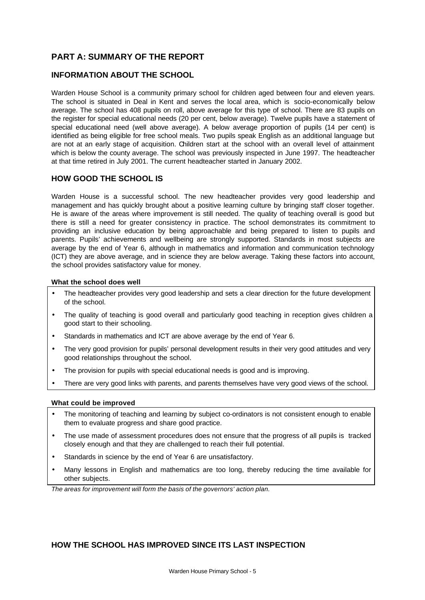# **PART A: SUMMARY OF THE REPORT**

## **INFORMATION ABOUT THE SCHOOL**

Warden House School is a community primary school for children aged between four and eleven years. The school is situated in Deal in Kent and serves the local area, which is socio-economically below average. The school has 408 pupils on roll, above average for this type of school. There are 83 pupils on the register for special educational needs (20 per cent, below average). Twelve pupils have a statement of special educational need (well above average). A below average proportion of pupils (14 per cent) is identified as being eligible for free school meals. Two pupils speak English as an additional language but are not at an early stage of acquisition. Children start at the school with an overall level of attainment which is below the county average. The school was previously inspected in June 1997. The headteacher at that time retired in July 2001. The current headteacher started in January 2002.

## **HOW GOOD THE SCHOOL IS**

Warden House is a successful school. The new headteacher provides very good leadership and management and has quickly brought about a positive learning culture by bringing staff closer together. He is aware of the areas where improvement is still needed. The quality of teaching overall is good but there is still a need for greater consistency in practice. The school demonstrates its commitment to providing an inclusive education by being approachable and being prepared to listen to pupils and parents. Pupils' achievements and wellbeing are strongly supported. Standards in most subjects are average by the end of Year 6, although in mathematics and information and communication technology (ICT) they are above average, and in science they are below average. Taking these factors into account, the school provides satisfactory value for money.

#### **What the school does well**

- The headteacher provides very good leadership and sets a clear direction for the future development of the school.
- The quality of teaching is good overall and particularly good teaching in reception gives children a good start to their schooling.
- Standards in mathematics and ICT are above average by the end of Year 6.
- The very good provision for pupils' personal development results in their very good attitudes and very good relationships throughout the school.
- The provision for pupils with special educational needs is good and is improving.
- There are very good links with parents, and parents themselves have very good views of the school.

### **What could be improved**

- The monitoring of teaching and learning by subject co-ordinators is not consistent enough to enable them to evaluate progress and share good practice.
- The use made of assessment procedures does not ensure that the progress of all pupils is tracked closely enough and that they are challenged to reach their full potential.
- Standards in science by the end of Year 6 are unsatisfactory.
- Many lessons in English and mathematics are too long, thereby reducing the time available for other subjects.

*The areas for improvement will form the basis of the governors' action plan.*

## **HOW THE SCHOOL HAS IMPROVED SINCE ITS LAST INSPECTION**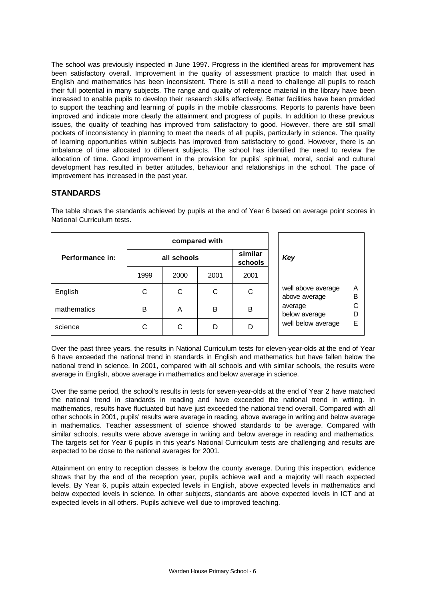The school was previously inspected in June 1997. Progress in the identified areas for improvement has been satisfactory overall. Improvement in the quality of assessment practice to match that used in English and mathematics has been inconsistent. There is still a need to challenge all pupils to reach their full potential in many subjects. The range and quality of reference material in the library have been increased to enable pupils to develop their research skills effectively. Better facilities have been provided to support the teaching and learning of pupils in the mobile classrooms. Reports to parents have been improved and indicate more clearly the attainment and progress of pupils. In addition to these previous issues, the quality of teaching has improved from satisfactory to good. However, there are still small pockets of inconsistency in planning to meet the needs of all pupils, particularly in science. The quality of learning opportunities within subjects has improved from satisfactory to good. However, there is an imbalance of time allocated to different subjects. The school has identified the need to review the allocation of time. Good improvement in the provision for pupils' spiritual, moral, social and cultural development has resulted in better attitudes, behaviour and relationships in the school. The pace of improvement has increased in the past year.

## **STANDARDS**

|                 | compared with |      |      |                    |  |                                     |        |  |        |
|-----------------|---------------|------|------|--------------------|--|-------------------------------------|--------|--|--------|
| Performance in: | all schools   |      |      | similar<br>schools |  | Key                                 |        |  |        |
|                 | 1999          | 2000 | 2001 | 2001               |  |                                     |        |  |        |
| English         | С             | С    | C    | С                  |  | well above average<br>above average | A<br>B |  |        |
| mathematics     | в             | A    | B    | в                  |  | average<br>below average            |        |  | С<br>D |
| science         | С             | С    | D    |                    |  | well below average                  | E      |  |        |

The table shows the standards achieved by pupils at the end of Year 6 based on average point scores in National Curriculum tests.

Over the past three years, the results in National Curriculum tests for eleven-year-olds at the end of Year 6 have exceeded the national trend in standards in English and mathematics but have fallen below the national trend in science. In 2001, compared with all schools and with similar schools, the results were average in English, above average in mathematics and below average in science.

Over the same period, the school's results in tests for seven-year-olds at the end of Year 2 have matched the national trend in standards in reading and have exceeded the national trend in writing. In mathematics, results have fluctuated but have just exceeded the national trend overall. Compared with all other schools in 2001, pupils' results were average in reading, above average in writing and below average in mathematics. Teacher assessment of science showed standards to be average. Compared with similar schools, results were above average in writing and below average in reading and mathematics. The targets set for Year 6 pupils in this year's National Curriculum tests are challenging and results are expected to be close to the national averages for 2001.

Attainment on entry to reception classes is below the county average. During this inspection, evidence shows that by the end of the reception year, pupils achieve well and a majority will reach expected levels. By Year 6, pupils attain expected levels in English, above expected levels in mathematics and below expected levels in science. In other subjects, standards are above expected levels in ICT and at expected levels in all others. Pupils achieve well due to improved teaching.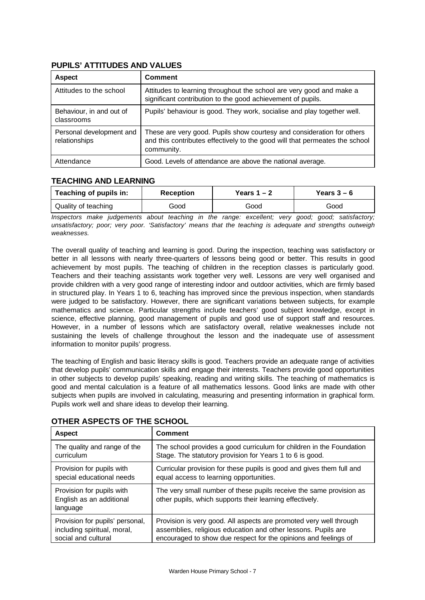| <b>Aspect</b>                             | <b>Comment</b>                                                                                                                                                      |
|-------------------------------------------|---------------------------------------------------------------------------------------------------------------------------------------------------------------------|
| Attitudes to the school                   | Attitudes to learning throughout the school are very good and make a<br>significant contribution to the good achievement of pupils.                                 |
| Behaviour, in and out of<br>classrooms    | Pupils' behaviour is good. They work, socialise and play together well.                                                                                             |
| Personal development and<br>relationships | These are very good. Pupils show courtesy and consideration for others<br>and this contributes effectively to the good will that permeates the school<br>community. |
| Attendance                                | Good. Levels of attendance are above the national average.                                                                                                          |

## **PUPILS' ATTITUDES AND VALUES**

## **TEACHING AND LEARNING**

| Teaching of pupils in: | <b>Reception</b> | Years $1 - 2$ | Years $3-6$ |
|------------------------|------------------|---------------|-------------|
| Quality of teaching    | Good             | Good          | Good        |

*Inspectors make judgements about teaching in the range: excellent; very good; good; satisfactory; unsatisfactory; poor; very poor. 'Satisfactory' means that the teaching is adequate and strengths outweigh weaknesses.*

The overall quality of teaching and learning is good. During the inspection, teaching was satisfactory or better in all lessons with nearly three-quarters of lessons being good or better. This results in good achievement by most pupils. The teaching of children in the reception classes is particularly good. Teachers and their teaching assistants work together very well. Lessons are very well organised and provide children with a very good range of interesting indoor and outdoor activities, which are firmly based in structured play. In Years 1 to 6, teaching has improved since the previous inspection, when standards were judged to be satisfactory. However, there are significant variations between subjects, for example mathematics and science. Particular strengths include teachers' good subject knowledge, except in science, effective planning, good management of pupils and good use of support staff and resources. However, in a number of lessons which are satisfactory overall, relative weaknesses include not sustaining the levels of challenge throughout the lesson and the inadequate use of assessment information to monitor pupils' progress.

The teaching of English and basic literacy skills is good. Teachers provide an adequate range of activities that develop pupils' communication skills and engage their interests. Teachers provide good opportunities in other subjects to develop pupils' speaking, reading and writing skills. The teaching of mathematics is good and mental calculation is a feature of all mathematics lessons. Good links are made with other subjects when pupils are involved in calculating, measuring and presenting information in graphical form. Pupils work well and share ideas to develop their learning.

| <b>Aspect</b>                                                     | <b>Comment</b>                                                                                                                  |
|-------------------------------------------------------------------|---------------------------------------------------------------------------------------------------------------------------------|
| The quality and range of the                                      | The school provides a good curriculum for children in the Foundation                                                            |
| curriculum                                                        | Stage. The statutory provision for Years 1 to 6 is good.                                                                        |
| Provision for pupils with                                         | Curricular provision for these pupils is good and gives them full and                                                           |
| special educational needs                                         | equal access to learning opportunities.                                                                                         |
| Provision for pupils with<br>English as an additional<br>language | The very small number of these pupils receive the same provision as<br>other pupils, which supports their learning effectively. |
| Provision for pupils' personal,                                   | Provision is very good. All aspects are promoted very well through                                                              |
| including spiritual, moral,                                       | assemblies, religious education and other lessons. Pupils are                                                                   |
| social and cultural                                               | encouraged to show due respect for the opinions and feelings of                                                                 |

## **OTHER ASPECTS OF THE SCHOOL**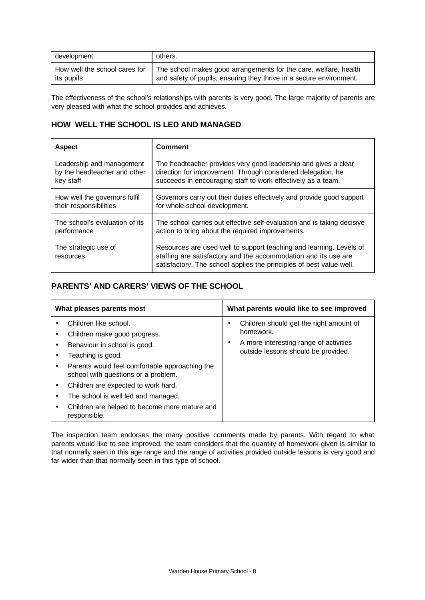| development                   | others.                                                             |
|-------------------------------|---------------------------------------------------------------------|
| How well the school cares for | The school makes good arrangements for the care, welfare, health    |
| its pupils                    | and safety of pupils, ensuring they thrive in a secure environment. |

The effectiveness of the school's relationships with parents is very good. The large majority of parents are very pleased with what the school provides and achieves.

## **HOW WELL THE SCHOOL IS LED AND MANAGED**

| <b>Aspect</b>                     | <b>Comment</b>                                                                                                                                                                                                |
|-----------------------------------|---------------------------------------------------------------------------------------------------------------------------------------------------------------------------------------------------------------|
| Leadership and management         | The headteacher provides very good leadership and gives a clear                                                                                                                                               |
| by the headteacher and other      | direction for improvement. Through considered delegation, he                                                                                                                                                  |
| key staff                         | succeeds in encouraging staff to work effectively as a team.                                                                                                                                                  |
| How well the governors fulfil     | Governors carry out their duties effectively and provide good support                                                                                                                                         |
| their responsibilities            | for whole-school development.                                                                                                                                                                                 |
| The school's evaluation of its    | The school carries out effective self-evaluation and is taking decisive                                                                                                                                       |
| performance                       | action to bring about the required improvements.                                                                                                                                                              |
| The strategic use of<br>resources | Resources are used well to support teaching and learning. Levels of<br>staffing are satisfactory and the accommodation and its use are<br>satisfactory. The school applies the principles of best value well. |

# **PARENTS' AND CARERS' VIEWS OF THE SCHOOL**

| What pleases parents most                                                                                                                                                                                                                                                                                                                                         | What parents would like to see improved                                                                                                    |
|-------------------------------------------------------------------------------------------------------------------------------------------------------------------------------------------------------------------------------------------------------------------------------------------------------------------------------------------------------------------|--------------------------------------------------------------------------------------------------------------------------------------------|
| Children like school.<br>Children make good progress.<br>Behaviour in school is good.<br>Teaching is good.<br>٠<br>Parents would feel comfortable approaching the<br>school with questions or a problem.<br>Children are expected to work hard.<br>٠<br>The school is well led and managed.<br>Children are helped to become more mature and<br>٠<br>responsible. | Children should get the right amount of<br>homework.<br>A more interesting range of activities<br>٠<br>outside lessons should be provided. |

The inspection team endorses the many positive comments made by parents. With regard to what parents would like to see improved, the team considers that the quantity of homework given is similar to that normally seen in this age range and the range of activities provided outside lessons is very good and far wider than that normally seen in this type of school.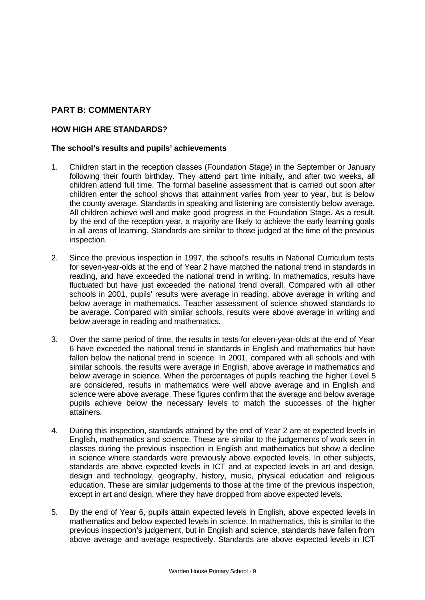## **PART B: COMMENTARY**

## **HOW HIGH ARE STANDARDS?**

### **The school's results and pupils' achievements**

- 1. Children start in the reception classes (Foundation Stage) in the September or January following their fourth birthday. They attend part time initially, and after two weeks, all children attend full time. The formal baseline assessment that is carried out soon after children enter the school shows that attainment varies from year to year, but is below the county average. Standards in speaking and listening are consistently below average. All children achieve well and make good progress in the Foundation Stage. As a result, by the end of the reception year, a majority are likely to achieve the early learning goals in all areas of learning. Standards are similar to those judged at the time of the previous inspection.
- 2. Since the previous inspection in 1997, the school's results in National Curriculum tests for seven-year-olds at the end of Year 2 have matched the national trend in standards in reading, and have exceeded the national trend in writing. In mathematics, results have fluctuated but have just exceeded the national trend overall. Compared with all other schools in 2001, pupils' results were average in reading, above average in writing and below average in mathematics. Teacher assessment of science showed standards to be average. Compared with similar schools, results were above average in writing and below average in reading and mathematics.
- 3. Over the same period of time, the results in tests for eleven-year-olds at the end of Year 6 have exceeded the national trend in standards in English and mathematics but have fallen below the national trend in science. In 2001, compared with all schools and with similar schools, the results were average in English, above average in mathematics and below average in science. When the percentages of pupils reaching the higher Level 5 are considered, results in mathematics were well above average and in English and science were above average. These figures confirm that the average and below average pupils achieve below the necessary levels to match the successes of the higher attainers.
- 4. During this inspection, standards attained by the end of Year 2 are at expected levels in English, mathematics and science. These are similar to the judgements of work seen in classes during the previous inspection in English and mathematics but show a decline in science where standards were previously above expected levels. In other subjects, standards are above expected levels in ICT and at expected levels in art and design, design and technology, geography, history, music, physical education and religious education. These are similar judgements to those at the time of the previous inspection, except in art and design, where they have dropped from above expected levels.
- 5. By the end of Year 6, pupils attain expected levels in English, above expected levels in mathematics and below expected levels in science. In mathematics, this is similar to the previous inspection's judgement, but in English and science, standards have fallen from above average and average respectively. Standards are above expected levels in ICT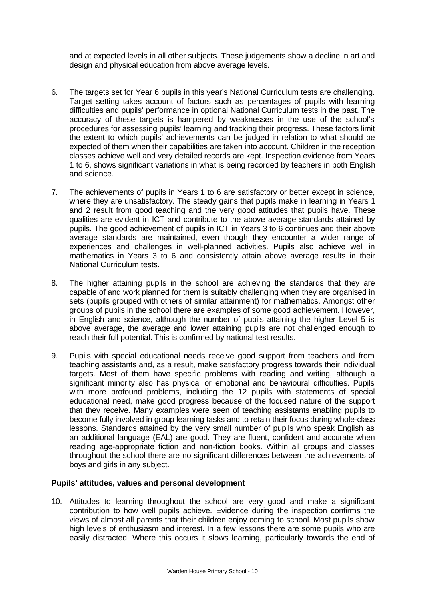and at expected levels in all other subjects. These judgements show a decline in art and design and physical education from above average levels.

- 6. The targets set for Year 6 pupils in this year's National Curriculum tests are challenging. Target setting takes account of factors such as percentages of pupils with learning difficulties and pupils' performance in optional National Curriculum tests in the past. The accuracy of these targets is hampered by weaknesses in the use of the school's procedures for assessing pupils' learning and tracking their progress. These factors limit the extent to which pupils' achievements can be judged in relation to what should be expected of them when their capabilities are taken into account. Children in the reception classes achieve well and very detailed records are kept. Inspection evidence from Years 1 to 6, shows significant variations in what is being recorded by teachers in both English and science.
- 7. The achievements of pupils in Years 1 to 6 are satisfactory or better except in science, where they are unsatisfactory. The steady gains that pupils make in learning in Years 1 and 2 result from good teaching and the very good attitudes that pupils have. These qualities are evident in ICT and contribute to the above average standards attained by pupils. The good achievement of pupils in ICT in Years 3 to 6 continues and their above average standards are maintained, even though they encounter a wider range of experiences and challenges in well-planned activities. Pupils also achieve well in mathematics in Years 3 to 6 and consistently attain above average results in their National Curriculum tests.
- 8. The higher attaining pupils in the school are achieving the standards that they are capable of and work planned for them is suitably challenging when they are organised in sets (pupils grouped with others of similar attainment) for mathematics. Amongst other groups of pupils in the school there are examples of some good achievement. However, in English and science, although the number of pupils attaining the higher Level 5 is above average, the average and lower attaining pupils are not challenged enough to reach their full potential. This is confirmed by national test results.
- 9. Pupils with special educational needs receive good support from teachers and from teaching assistants and, as a result, make satisfactory progress towards their individual targets. Most of them have specific problems with reading and writing, although a significant minority also has physical or emotional and behavioural difficulties. Pupils with more profound problems, including the 12 pupils with statements of special educational need, make good progress because of the focused nature of the support that they receive. Many examples were seen of teaching assistants enabling pupils to become fully involved in group learning tasks and to retain their focus during whole-class lessons. Standards attained by the very small number of pupils who speak English as an additional language (EAL) are good. They are fluent, confident and accurate when reading age-appropriate fiction and non-fiction books. Within all groups and classes throughout the school there are no significant differences between the achievements of boys and girls in any subject.

### **Pupils' attitudes, values and personal development**

10. Attitudes to learning throughout the school are very good and make a significant contribution to how well pupils achieve. Evidence during the inspection confirms the views of almost all parents that their children enjoy coming to school. Most pupils show high levels of enthusiasm and interest. In a few lessons there are some pupils who are easily distracted. Where this occurs it slows learning, particularly towards the end of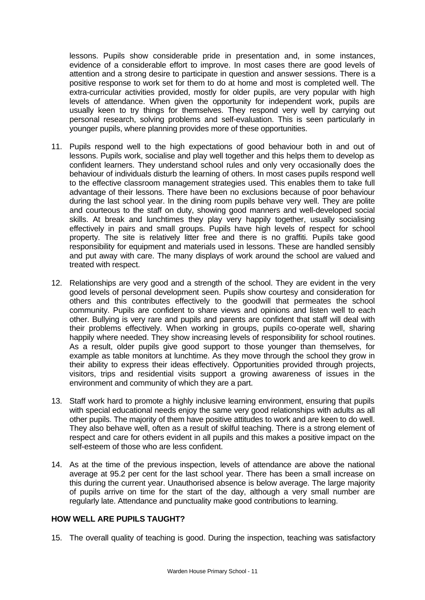lessons. Pupils show considerable pride in presentation and, in some instances, evidence of a considerable effort to improve. In most cases there are good levels of attention and a strong desire to participate in question and answer sessions. There is a positive response to work set for them to do at home and most is completed well. The extra-curricular activities provided, mostly for older pupils, are very popular with high levels of attendance. When given the opportunity for independent work, pupils are usually keen to try things for themselves. They respond very well by carrying out personal research, solving problems and self-evaluation. This is seen particularly in younger pupils, where planning provides more of these opportunities.

- 11. Pupils respond well to the high expectations of good behaviour both in and out of lessons. Pupils work, socialise and play well together and this helps them to develop as confident learners. They understand school rules and only very occasionally does the behaviour of individuals disturb the learning of others. In most cases pupils respond well to the effective classroom management strategies used. This enables them to take full advantage of their lessons. There have been no exclusions because of poor behaviour during the last school year. In the dining room pupils behave very well. They are polite and courteous to the staff on duty, showing good manners and well-developed social skills. At break and lunchtimes they play very happily together, usually socialising effectively in pairs and small groups. Pupils have high levels of respect for school property. The site is relatively litter free and there is no graffiti. Pupils take good responsibility for equipment and materials used in lessons. These are handled sensibly and put away with care. The many displays of work around the school are valued and treated with respect.
- 12. Relationships are very good and a strength of the school. They are evident in the very good levels of personal development seen. Pupils show courtesy and consideration for others and this contributes effectively to the goodwill that permeates the school community. Pupils are confident to share views and opinions and listen well to each other. Bullying is very rare and pupils and parents are confident that staff will deal with their problems effectively. When working in groups, pupils co-operate well, sharing happily where needed. They show increasing levels of responsibility for school routines. As a result, older pupils give good support to those younger than themselves, for example as table monitors at lunchtime. As they move through the school they grow in their ability to express their ideas effectively. Opportunities provided through projects, visitors, trips and residential visits support a growing awareness of issues in the environment and community of which they are a part.
- 13. Staff work hard to promote a highly inclusive learning environment, ensuring that pupils with special educational needs enjoy the same very good relationships with adults as all other pupils. The majority of them have positive attitudes to work and are keen to do well. They also behave well, often as a result of skilful teaching. There is a strong element of respect and care for others evident in all pupils and this makes a positive impact on the self-esteem of those who are less confident.
- 14. As at the time of the previous inspection, levels of attendance are above the national average at 95.2 per cent for the last school year. There has been a small increase on this during the current year. Unauthorised absence is below average. The large majority of pupils arrive on time for the start of the day, although a very small number are regularly late. Attendance and punctuality make good contributions to learning.

## **HOW WELL ARE PUPILS TAUGHT?**

15. The overall quality of teaching is good. During the inspection, teaching was satisfactory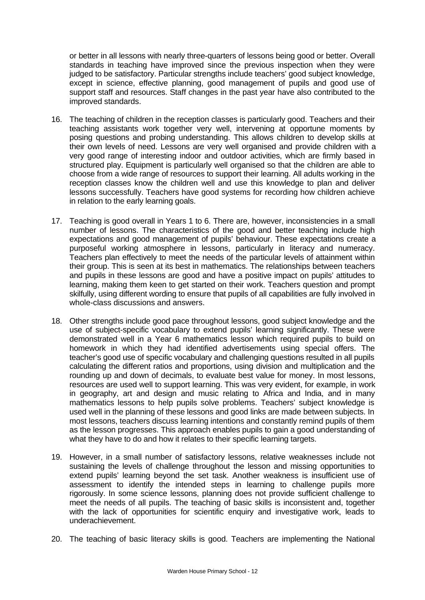or better in all lessons with nearly three-quarters of lessons being good or better. Overall standards in teaching have improved since the previous inspection when they were judged to be satisfactory. Particular strengths include teachers' good subject knowledge, except in science, effective planning, good management of pupils and good use of support staff and resources. Staff changes in the past year have also contributed to the improved standards.

- 16. The teaching of children in the reception classes is particularly good. Teachers and their teaching assistants work together very well, intervening at opportune moments by posing questions and probing understanding. This allows children to develop skills at their own levels of need. Lessons are very well organised and provide children with a very good range of interesting indoor and outdoor activities, which are firmly based in structured play. Equipment is particularly well organised so that the children are able to choose from a wide range of resources to support their learning. All adults working in the reception classes know the children well and use this knowledge to plan and deliver lessons successfully. Teachers have good systems for recording how children achieve in relation to the early learning goals.
- 17. Teaching is good overall in Years 1 to 6. There are, however, inconsistencies in a small number of lessons. The characteristics of the good and better teaching include high expectations and good management of pupils' behaviour. These expectations create a purposeful working atmosphere in lessons, particularly in literacy and numeracy. Teachers plan effectively to meet the needs of the particular levels of attainment within their group. This is seen at its best in mathematics. The relationships between teachers and pupils in these lessons are good and have a positive impact on pupils' attitudes to learning, making them keen to get started on their work. Teachers question and prompt skilfully, using different wording to ensure that pupils of all capabilities are fully involved in whole-class discussions and answers.
- 18. Other strengths include good pace throughout lessons, good subject knowledge and the use of subject-specific vocabulary to extend pupils' learning significantly. These were demonstrated well in a Year 6 mathematics lesson which required pupils to build on homework in which they had identified advertisements using special offers. The teacher's good use of specific vocabulary and challenging questions resulted in all pupils calculating the different ratios and proportions, using division and multiplication and the rounding up and down of decimals, to evaluate best value for money. In most lessons, resources are used well to support learning. This was very evident, for example, in work in geography, art and design and music relating to Africa and India, and in many mathematics lessons to help pupils solve problems. Teachers' subject knowledge is used well in the planning of these lessons and good links are made between subjects. In most lessons, teachers discuss learning intentions and constantly remind pupils of them as the lesson progresses. This approach enables pupils to gain a good understanding of what they have to do and how it relates to their specific learning targets.
- 19. However, in a small number of satisfactory lessons, relative weaknesses include not sustaining the levels of challenge throughout the lesson and missing opportunities to extend pupils' learning beyond the set task. Another weakness is insufficient use of assessment to identify the intended steps in learning to challenge pupils more rigorously. In some science lessons, planning does not provide sufficient challenge to meet the needs of all pupils. The teaching of basic skills is inconsistent and, together with the lack of opportunities for scientific enquiry and investigative work, leads to underachievement.
- 20. The teaching of basic literacy skills is good. Teachers are implementing the National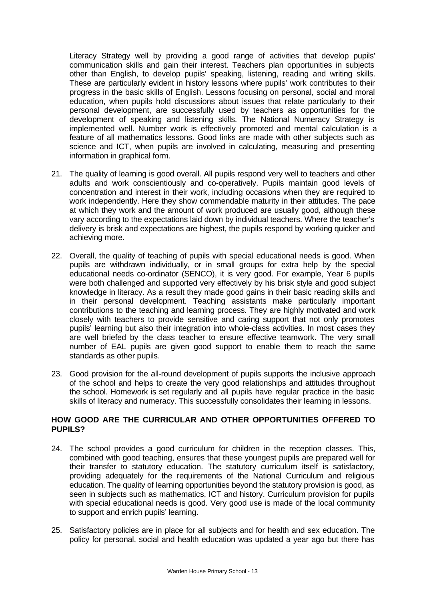Literacy Strategy well by providing a good range of activities that develop pupils' communication skills and gain their interest. Teachers plan opportunities in subjects other than English, to develop pupils' speaking, listening, reading and writing skills. These are particularly evident in history lessons where pupils' work contributes to their progress in the basic skills of English. Lessons focusing on personal, social and moral education, when pupils hold discussions about issues that relate particularly to their personal development, are successfully used by teachers as opportunities for the development of speaking and listening skills. The National Numeracy Strategy is implemented well. Number work is effectively promoted and mental calculation is a feature of all mathematics lessons. Good links are made with other subjects such as science and ICT, when pupils are involved in calculating, measuring and presenting information in graphical form.

- 21. The quality of learning is good overall. All pupils respond very well to teachers and other adults and work conscientiously and co-operatively. Pupils maintain good levels of concentration and interest in their work, including occasions when they are required to work independently. Here they show commendable maturity in their attitudes. The pace at which they work and the amount of work produced are usually good, although these vary according to the expectations laid down by individual teachers. Where the teacher's delivery is brisk and expectations are highest, the pupils respond by working quicker and achieving more.
- 22. Overall, the quality of teaching of pupils with special educational needs is good. When pupils are withdrawn individually, or in small groups for extra help by the special educational needs co-ordinator (SENCO), it is very good. For example, Year 6 pupils were both challenged and supported very effectively by his brisk style and good subject knowledge in literacy. As a result they made good gains in their basic reading skills and in their personal development. Teaching assistants make particularly important contributions to the teaching and learning process. They are highly motivated and work closely with teachers to provide sensitive and caring support that not only promotes pupils' learning but also their integration into whole-class activities. In most cases they are well briefed by the class teacher to ensure effective teamwork. The very small number of EAL pupils are given good support to enable them to reach the same standards as other pupils.
- 23. Good provision for the all-round development of pupils supports the inclusive approach of the school and helps to create the very good relationships and attitudes throughout the school. Homework is set regularly and all pupils have regular practice in the basic skills of literacy and numeracy. This successfully consolidates their learning in lessons.

## **HOW GOOD ARE THE CURRICULAR AND OTHER OPPORTUNITIES OFFERED TO PUPILS?**

- 24. The school provides a good curriculum for children in the reception classes. This, combined with good teaching, ensures that these youngest pupils are prepared well for their transfer to statutory education. The statutory curriculum itself is satisfactory, providing adequately for the requirements of the National Curriculum and religious education. The quality of learning opportunities beyond the statutory provision is good, as seen in subjects such as mathematics, ICT and history. Curriculum provision for pupils with special educational needs is good. Very good use is made of the local community to support and enrich pupils' learning.
- 25. Satisfactory policies are in place for all subjects and for health and sex education. The policy for personal, social and health education was updated a year ago but there has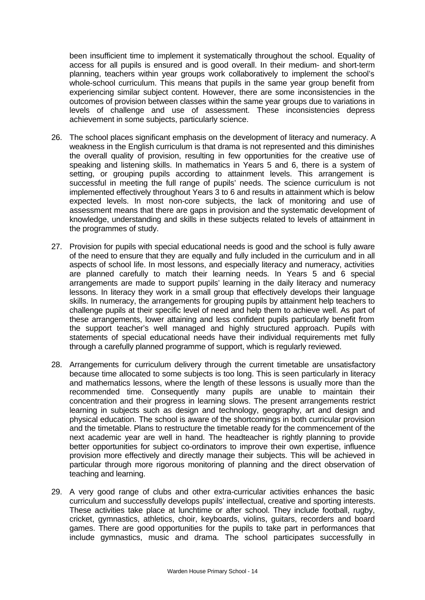been insufficient time to implement it systematically throughout the school. Equality of access for all pupils is ensured and is good overall. In their medium- and short-term planning, teachers within year groups work collaboratively to implement the school's whole-school curriculum. This means that pupils in the same year group benefit from experiencing similar subject content. However, there are some inconsistencies in the outcomes of provision between classes within the same year groups due to variations in levels of challenge and use of assessment. These inconsistencies depress achievement in some subjects, particularly science.

- 26. The school places significant emphasis on the development of literacy and numeracy. A weakness in the English curriculum is that drama is not represented and this diminishes the overall quality of provision, resulting in few opportunities for the creative use of speaking and listening skills. In mathematics in Years 5 and 6, there is a system of setting, or grouping pupils according to attainment levels. This arrangement is successful in meeting the full range of pupils' needs. The science curriculum is not implemented effectively throughout Years 3 to 6 and results in attainment which is below expected levels. In most non-core subjects, the lack of monitoring and use of assessment means that there are gaps in provision and the systematic development of knowledge, understanding and skills in these subjects related to levels of attainment in the programmes of study.
- 27. Provision for pupils with special educational needs is good and the school is fully aware of the need to ensure that they are equally and fully included in the curriculum and in all aspects of school life. In most lessons, and especially literacy and numeracy, activities are planned carefully to match their learning needs. In Years 5 and 6 special arrangements are made to support pupils' learning in the daily literacy and numeracy lessons. In literacy they work in a small group that effectively develops their language skills. In numeracy, the arrangements for grouping pupils by attainment help teachers to challenge pupils at their specific level of need and help them to achieve well. As part of these arrangements, lower attaining and less confident pupils particularly benefit from the support teacher's well managed and highly structured approach. Pupils with statements of special educational needs have their individual requirements met fully through a carefully planned programme of support, which is regularly reviewed.
- 28. Arrangements for curriculum delivery through the current timetable are unsatisfactory because time allocated to some subjects is too long. This is seen particularly in literacy and mathematics lessons, where the length of these lessons is usually more than the recommended time. Consequently many pupils are unable to maintain their concentration and their progress in learning slows. The present arrangements restrict learning in subjects such as design and technology, geography, art and design and physical education. The school is aware of the shortcomings in both curricular provision and the timetable. Plans to restructure the timetable ready for the commencement of the next academic year are well in hand. The headteacher is rightly planning to provide better opportunities for subject co-ordinators to improve their own expertise, influence provision more effectively and directly manage their subjects. This will be achieved in particular through more rigorous monitoring of planning and the direct observation of teaching and learning.
- 29. A very good range of clubs and other extra-curricular activities enhances the basic curriculum and successfully develops pupils' intellectual, creative and sporting interests. These activities take place at lunchtime or after school. They include football, rugby, cricket, gymnastics, athletics, choir, keyboards, violins, guitars, recorders and board games. There are good opportunities for the pupils to take part in performances that include gymnastics, music and drama. The school participates successfully in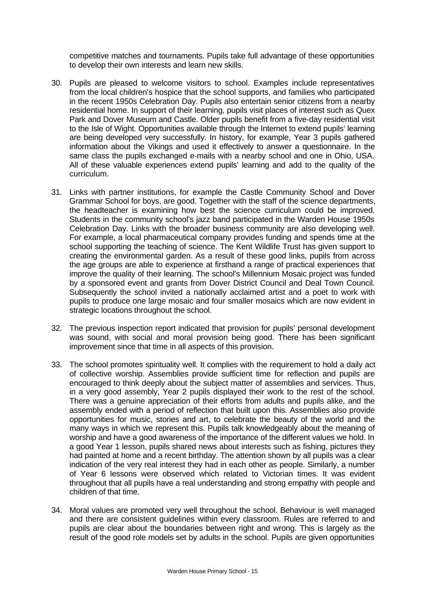competitive matches and tournaments. Pupils take full advantage of these opportunities to develop their own interests and learn new skills.

- 30. Pupils are pleased to welcome visitors to school. Examples include representatives from the local children's hospice that the school supports, and families who participated in the recent 1950s Celebration Day. Pupils also entertain senior citizens from a nearby residential home. In support of their learning, pupils visit places of interest such as Quex Park and Dover Museum and Castle. Older pupils benefit from a five-day residential visit to the Isle of Wight. Opportunities available through the Internet to extend pupils' learning are being developed very successfully. In history, for example, Year 3 pupils gathered information about the Vikings and used it effectively to answer a questionnaire. In the same class the pupils exchanged e-mails with a nearby school and one in Ohio, USA. All of these valuable experiences extend pupils' learning and add to the quality of the curriculum.
- 31. Links with partner institutions, for example the Castle Community School and Dover Grammar School for boys, are good. Together with the staff of the science departments, the headteacher is examining how best the science curriculum could be improved. Students in the community school's jazz band participated in the Warden House 1950s Celebration Day. Links with the broader business community are also developing well. For example, a local pharmaceutical company provides funding and spends time at the school supporting the teaching of science. The Kent Wildlife Trust has given support to creating the environmental garden. As a result of these good links, pupils from across the age groups are able to experience at firsthand a range of practical experiences that improve the quality of their learning. The school's Millennium Mosaic project was funded by a sponsored event and grants from Dover District Council and Deal Town Council. Subsequently the school invited a nationally acclaimed artist and a poet to work with pupils to produce one large mosaic and four smaller mosaics which are now evident in strategic locations throughout the school.
- 32. The previous inspection report indicated that provision for pupils' personal development was sound, with social and moral provision being good. There has been significant improvement since that time in all aspects of this provision.
- 33. The school promotes spirituality well. It complies with the requirement to hold a daily act of collective worship. Assemblies provide sufficient time for reflection and pupils are encouraged to think deeply about the subject matter of assemblies and services. Thus, in a very good assembly, Year 2 pupils displayed their work to the rest of the school. There was a genuine appreciation of their efforts from adults and pupils alike, and the assembly ended with a period of reflection that built upon this. Assemblies also provide opportunities for music, stories and art, to celebrate the beauty of the world and the many ways in which we represent this. Pupils talk knowledgeably about the meaning of worship and have a good awareness of the importance of the different values we hold. In a good Year 1 lesson, pupils shared news about interests such as fishing, pictures they had painted at home and a recent birthday. The attention shown by all pupils was a clear indication of the very real interest they had in each other as people. Similarly, a number of Year 6 lessons were observed which related to Victorian times. It was evident throughout that all pupils have a real understanding and strong empathy with people and children of that time.
- 34. Moral values are promoted very well throughout the school. Behaviour is well managed and there are consistent guidelines within every classroom. Rules are referred to and pupils are clear about the boundaries between right and wrong. This is largely as the result of the good role models set by adults in the school. Pupils are given opportunities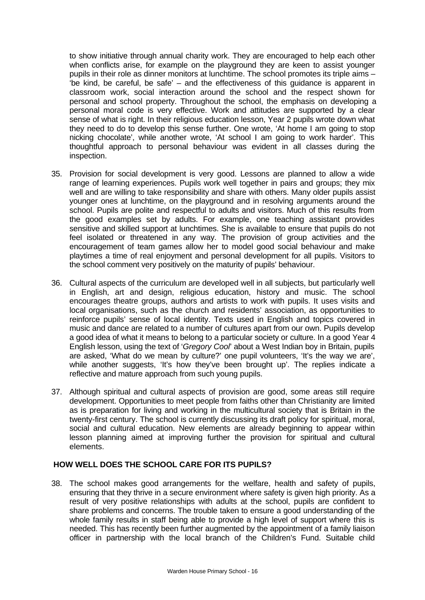to show initiative through annual charity work. They are encouraged to help each other when conflicts arise, for example on the playground they are keen to assist younger pupils in their role as dinner monitors at lunchtime. The school promotes its triple aims – 'be kind, be careful, be safe' – and the effectiveness of this guidance is apparent in classroom work, social interaction around the school and the respect shown for personal and school property. Throughout the school, the emphasis on developing a personal moral code is very effective. Work and attitudes are supported by a clear sense of what is right. In their religious education lesson, Year 2 pupils wrote down what they need to do to develop this sense further. One wrote, 'At home I am going to stop nicking chocolate', while another wrote, 'At school I am going to work harder'. This thoughtful approach to personal behaviour was evident in all classes during the inspection.

- 35. Provision for social development is very good. Lessons are planned to allow a wide range of learning experiences. Pupils work well together in pairs and groups; they mix well and are willing to take responsibility and share with others. Many older pupils assist younger ones at lunchtime, on the playground and in resolving arguments around the school. Pupils are polite and respectful to adults and visitors. Much of this results from the good examples set by adults. For example, one teaching assistant provides sensitive and skilled support at lunchtimes. She is available to ensure that pupils do not feel isolated or threatened in any way. The provision of group activities and the encouragement of team games allow her to model good social behaviour and make playtimes a time of real enjoyment and personal development for all pupils. Visitors to the school comment very positively on the maturity of pupils' behaviour.
- 36. Cultural aspects of the curriculum are developed well in all subjects, but particularly well in English, art and design, religious education, history and music. The school encourages theatre groups, authors and artists to work with pupils. It uses visits and local organisations, such as the church and residents' association, as opportunities to reinforce pupils' sense of local identity. Texts used in English and topics covered in music and dance are related to a number of cultures apart from our own. Pupils develop a good idea of what it means to belong to a particular society or culture. In a good Year 4 English lesson, using the text of '*Gregory Cool*' about a West Indian boy in Britain, pupils are asked, 'What do we mean by culture?' one pupil volunteers, 'It's the way we are', while another suggests, 'It's how they've been brought up'. The replies indicate a reflective and mature approach from such young pupils.
- 37. Although spiritual and cultural aspects of provision are good, some areas still require development. Opportunities to meet people from faiths other than Christianity are limited as is preparation for living and working in the multicultural society that is Britain in the twenty-first century. The school is currently discussing its draft policy for spiritual, moral, social and cultural education. New elements are already beginning to appear within lesson planning aimed at improving further the provision for spiritual and cultural elements.

## **HOW WELL DOES THE SCHOOL CARE FOR ITS PUPILS?**

38. The school makes good arrangements for the welfare, health and safety of pupils, ensuring that they thrive in a secure environment where safety is given high priority. As a result of very positive relationships with adults at the school, pupils are confident to share problems and concerns. The trouble taken to ensure a good understanding of the whole family results in staff being able to provide a high level of support where this is needed. This has recently been further augmented by the appointment of a family liaison officer in partnership with the local branch of the Children's Fund. Suitable child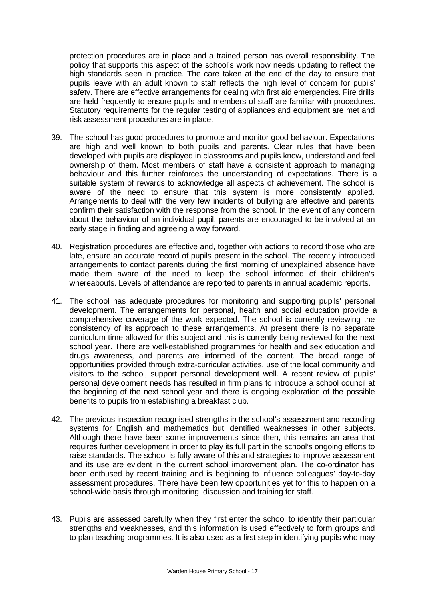protection procedures are in place and a trained person has overall responsibility. The policy that supports this aspect of the school's work now needs updating to reflect the high standards seen in practice. The care taken at the end of the day to ensure that pupils leave with an adult known to staff reflects the high level of concern for pupils' safety. There are effective arrangements for dealing with first aid emergencies. Fire drills are held frequently to ensure pupils and members of staff are familiar with procedures. Statutory requirements for the regular testing of appliances and equipment are met and risk assessment procedures are in place.

- 39. The school has good procedures to promote and monitor good behaviour. Expectations are high and well known to both pupils and parents. Clear rules that have been developed with pupils are displayed in classrooms and pupils know, understand and feel ownership of them. Most members of staff have a consistent approach to managing behaviour and this further reinforces the understanding of expectations. There is a suitable system of rewards to acknowledge all aspects of achievement. The school is aware of the need to ensure that this system is more consistently applied. Arrangements to deal with the very few incidents of bullying are effective and parents confirm their satisfaction with the response from the school. In the event of any concern about the behaviour of an individual pupil, parents are encouraged to be involved at an early stage in finding and agreeing a way forward.
- 40. Registration procedures are effective and, together with actions to record those who are late, ensure an accurate record of pupils present in the school. The recently introduced arrangements to contact parents during the first morning of unexplained absence have made them aware of the need to keep the school informed of their children's whereabouts. Levels of attendance are reported to parents in annual academic reports.
- 41. The school has adequate procedures for monitoring and supporting pupils' personal development. The arrangements for personal, health and social education provide a comprehensive coverage of the work expected. The school is currently reviewing the consistency of its approach to these arrangements. At present there is no separate curriculum time allowed for this subject and this is currently being reviewed for the next school year. There are well-established programmes for health and sex education and drugs awareness, and parents are informed of the content. The broad range of opportunities provided through extra-curricular activities, use of the local community and visitors to the school, support personal development well. A recent review of pupils' personal development needs has resulted in firm plans to introduce a school council at the beginning of the next school year and there is ongoing exploration of the possible benefits to pupils from establishing a breakfast club.
- 42. The previous inspection recognised strengths in the school's assessment and recording systems for English and mathematics but identified weaknesses in other subjects. Although there have been some improvements since then, this remains an area that requires further development in order to play its full part in the school's ongoing efforts to raise standards. The school is fully aware of this and strategies to improve assessment and its use are evident in the current school improvement plan. The co-ordinator has been enthused by recent training and is beginning to influence colleagues' day-to-day assessment procedures. There have been few opportunities yet for this to happen on a school-wide basis through monitoring, discussion and training for staff.
- 43. Pupils are assessed carefully when they first enter the school to identify their particular strengths and weaknesses, and this information is used effectively to form groups and to plan teaching programmes. It is also used as a first step in identifying pupils who may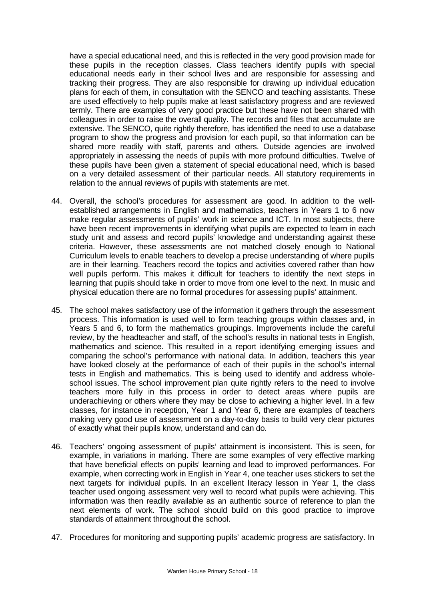have a special educational need, and this is reflected in the very good provision made for these pupils in the reception classes. Class teachers identify pupils with special educational needs early in their school lives and are responsible for assessing and tracking their progress. They are also responsible for drawing up individual education plans for each of them, in consultation with the SENCO and teaching assistants. These are used effectively to help pupils make at least satisfactory progress and are reviewed termly. There are examples of very good practice but these have not been shared with colleagues in order to raise the overall quality. The records and files that accumulate are extensive. The SENCO, quite rightly therefore, has identified the need to use a database program to show the progress and provision for each pupil, so that information can be shared more readily with staff, parents and others. Outside agencies are involved appropriately in assessing the needs of pupils with more profound difficulties. Twelve of these pupils have been given a statement of special educational need, which is based on a very detailed assessment of their particular needs. All statutory requirements in relation to the annual reviews of pupils with statements are met.

- 44. Overall, the school's procedures for assessment are good. In addition to the wellestablished arrangements in English and mathematics, teachers in Years 1 to 6 now make regular assessments of pupils' work in science and ICT. In most subjects, there have been recent improvements in identifying what pupils are expected to learn in each study unit and assess and record pupils' knowledge and understanding against these criteria. However, these assessments are not matched closely enough to National Curriculum levels to enable teachers to develop a precise understanding of where pupils are in their learning. Teachers record the topics and activities covered rather than how well pupils perform. This makes it difficult for teachers to identify the next steps in learning that pupils should take in order to move from one level to the next. In music and physical education there are no formal procedures for assessing pupils' attainment.
- 45. The school makes satisfactory use of the information it gathers through the assessment process. This information is used well to form teaching groups within classes and, in Years 5 and 6, to form the mathematics groupings. Improvements include the careful review, by the headteacher and staff, of the school's results in national tests in English, mathematics and science. This resulted in a report identifying emerging issues and comparing the school's performance with national data. In addition, teachers this year have looked closely at the performance of each of their pupils in the school's internal tests in English and mathematics. This is being used to identify and address wholeschool issues. The school improvement plan quite rightly refers to the need to involve teachers more fully in this process in order to detect areas where pupils are underachieving or others where they may be close to achieving a higher level. In a few classes, for instance in reception, Year 1 and Year 6, there are examples of teachers making very good use of assessment on a day-to-day basis to build very clear pictures of exactly what their pupils know, understand and can do.
- 46. Teachers' ongoing assessment of pupils' attainment is inconsistent. This is seen, for example, in variations in marking. There are some examples of very effective marking that have beneficial effects on pupils' learning and lead to improved performances. For example, when correcting work in English in Year 4, one teacher uses stickers to set the next targets for individual pupils. In an excellent literacy lesson in Year 1, the class teacher used ongoing assessment very well to record what pupils were achieving. This information was then readily available as an authentic source of reference to plan the next elements of work. The school should build on this good practice to improve standards of attainment throughout the school.
- 47. Procedures for monitoring and supporting pupils' academic progress are satisfactory. In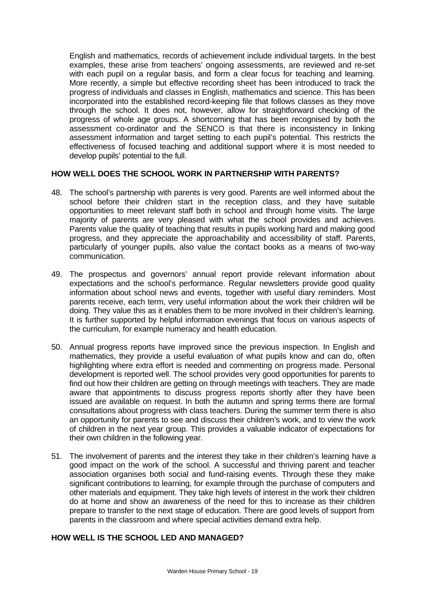English and mathematics, records of achievement include individual targets. In the best examples, these arise from teachers' ongoing assessments, are reviewed and re-set with each pupil on a regular basis, and form a clear focus for teaching and learning. More recently, a simple but effective recording sheet has been introduced to track the progress of individuals and classes in English, mathematics and science. This has been incorporated into the established record-keeping file that follows classes as they move through the school. It does not, however, allow for straightforward checking of the progress of whole age groups. A shortcoming that has been recognised by both the assessment co-ordinator and the SENCO is that there is inconsistency in linking assessment information and target setting to each pupil's potential. This restricts the effectiveness of focused teaching and additional support where it is most needed to develop pupils' potential to the full.

## **HOW WELL DOES THE SCHOOL WORK IN PARTNERSHIP WITH PARENTS?**

- 48. The school's partnership with parents is very good. Parents are well informed about the school before their children start in the reception class, and they have suitable opportunities to meet relevant staff both in school and through home visits. The large majority of parents are very pleased with what the school provides and achieves. Parents value the quality of teaching that results in pupils working hard and making good progress, and they appreciate the approachability and accessibility of staff. Parents, particularly of younger pupils, also value the contact books as a means of two-way communication.
- 49. The prospectus and governors' annual report provide relevant information about expectations and the school's performance. Regular newsletters provide good quality information about school news and events, together with useful diary reminders. Most parents receive, each term, very useful information about the work their children will be doing. They value this as it enables them to be more involved in their children's learning. It is further supported by helpful information evenings that focus on various aspects of the curriculum, for example numeracy and health education.
- 50. Annual progress reports have improved since the previous inspection. In English and mathematics, they provide a useful evaluation of what pupils know and can do, often highlighting where extra effort is needed and commenting on progress made. Personal development is reported well. The school provides very good opportunities for parents to find out how their children are getting on through meetings with teachers. They are made aware that appointments to discuss progress reports shortly after they have been issued are available on request. In both the autumn and spring terms there are formal consultations about progress with class teachers. During the summer term there is also an opportunity for parents to see and discuss their children's work, and to view the work of children in the next year group. This provides a valuable indicator of expectations for their own children in the following year.
- 51. The involvement of parents and the interest they take in their children's learning have a good impact on the work of the school. A successful and thriving parent and teacher association organises both social and fund-raising events. Through these they make significant contributions to learning, for example through the purchase of computers and other materials and equipment. They take high levels of interest in the work their children do at home and show an awareness of the need for this to increase as their children prepare to transfer to the next stage of education. There are good levels of support from parents in the classroom and where special activities demand extra help.

## **HOW WELL IS THE SCHOOL LED AND MANAGED?**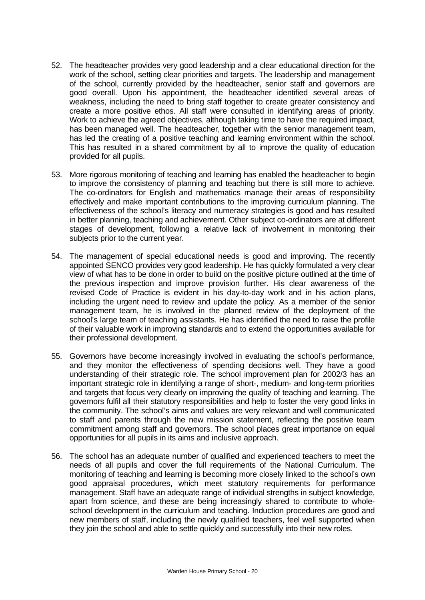- 52. The headteacher provides very good leadership and a clear educational direction for the work of the school, setting clear priorities and targets. The leadership and management of the school, currently provided by the headteacher, senior staff and governors are good overall. Upon his appointment, the headteacher identified several areas of weakness, including the need to bring staff together to create greater consistency and create a more positive ethos. All staff were consulted in identifying areas of priority. Work to achieve the agreed objectives, although taking time to have the required impact, has been managed well. The headteacher, together with the senior management team, has led the creating of a positive teaching and learning environment within the school. This has resulted in a shared commitment by all to improve the quality of education provided for all pupils.
- 53. More rigorous monitoring of teaching and learning has enabled the headteacher to begin to improve the consistency of planning and teaching but there is still more to achieve. The co-ordinators for English and mathematics manage their areas of responsibility effectively and make important contributions to the improving curriculum planning. The effectiveness of the school's literacy and numeracy strategies is good and has resulted in better planning, teaching and achievement. Other subject co-ordinators are at different stages of development, following a relative lack of involvement in monitoring their subjects prior to the current year.
- 54. The management of special educational needs is good and improving. The recently appointed SENCO provides very good leadership. He has quickly formulated a very clear view of what has to be done in order to build on the positive picture outlined at the time of the previous inspection and improve provision further. His clear awareness of the revised Code of Practice is evident in his day-to-day work and in his action plans, including the urgent need to review and update the policy. As a member of the senior management team, he is involved in the planned review of the deployment of the school's large team of teaching assistants. He has identified the need to raise the profile of their valuable work in improving standards and to extend the opportunities available for their professional development.
- 55. Governors have become increasingly involved in evaluating the school's performance, and they monitor the effectiveness of spending decisions well. They have a good understanding of their strategic role. The school improvement plan for 2002/3 has an important strategic role in identifying a range of short-, medium- and long-term priorities and targets that focus very clearly on improving the quality of teaching and learning. The governors fulfil all their statutory responsibilities and help to foster the very good links in the community. The school's aims and values are very relevant and well communicated to staff and parents through the new mission statement, reflecting the positive team commitment among staff and governors. The school places great importance on equal opportunities for all pupils in its aims and inclusive approach.
- 56. The school has an adequate number of qualified and experienced teachers to meet the needs of all pupils and cover the full requirements of the National Curriculum. The monitoring of teaching and learning is becoming more closely linked to the school's own good appraisal procedures, which meet statutory requirements for performance management. Staff have an adequate range of individual strengths in subject knowledge, apart from science, and these are being increasingly shared to contribute to wholeschool development in the curriculum and teaching. Induction procedures are good and new members of staff, including the newly qualified teachers, feel well supported when they join the school and able to settle quickly and successfully into their new roles.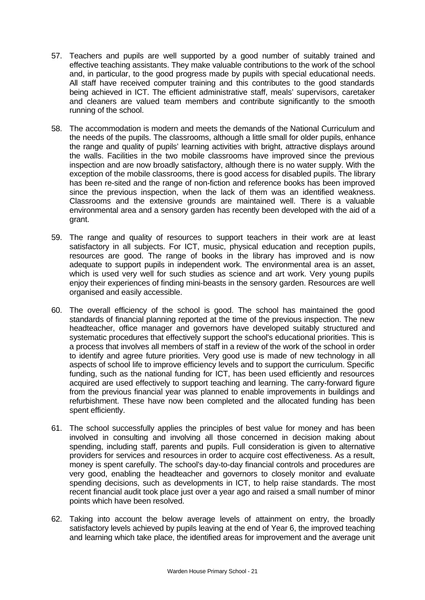- 57. Teachers and pupils are well supported by a good number of suitably trained and effective teaching assistants. They make valuable contributions to the work of the school and, in particular, to the good progress made by pupils with special educational needs. All staff have received computer training and this contributes to the good standards being achieved in ICT. The efficient administrative staff, meals' supervisors, caretaker and cleaners are valued team members and contribute significantly to the smooth running of the school.
- 58. The accommodation is modern and meets the demands of the National Curriculum and the needs of the pupils. The classrooms, although a little small for older pupils, enhance the range and quality of pupils' learning activities with bright, attractive displays around the walls. Facilities in the two mobile classrooms have improved since the previous inspection and are now broadly satisfactory, although there is no water supply. With the exception of the mobile classrooms, there is good access for disabled pupils. The library has been re-sited and the range of non-fiction and reference books has been improved since the previous inspection, when the lack of them was an identified weakness. Classrooms and the extensive grounds are maintained well. There is a valuable environmental area and a sensory garden has recently been developed with the aid of a grant.
- 59. The range and quality of resources to support teachers in their work are at least satisfactory in all subjects. For ICT, music, physical education and reception pupils, resources are good. The range of books in the library has improved and is now adequate to support pupils in independent work. The environmental area is an asset, which is used very well for such studies as science and art work. Very young pupils enjoy their experiences of finding mini-beasts in the sensory garden. Resources are well organised and easily accessible.
- 60. The overall efficiency of the school is good. The school has maintained the good standards of financial planning reported at the time of the previous inspection. The new headteacher, office manager and governors have developed suitably structured and systematic procedures that effectively support the school's educational priorities. This is a process that involves all members of staff in a review of the work of the school in order to identify and agree future priorities. Very good use is made of new technology in all aspects of school life to improve efficiency levels and to support the curriculum. Specific funding, such as the national funding for ICT, has been used efficiently and resources acquired are used effectively to support teaching and learning. The carry-forward figure from the previous financial year was planned to enable improvements in buildings and refurbishment. These have now been completed and the allocated funding has been spent efficiently.
- 61. The school successfully applies the principles of best value for money and has been involved in consulting and involving all those concerned in decision making about spending, including staff, parents and pupils. Full consideration is given to alternative providers for services and resources in order to acquire cost effectiveness. As a result, money is spent carefully. The school's day-to-day financial controls and procedures are very good, enabling the headteacher and governors to closely monitor and evaluate spending decisions, such as developments in ICT, to help raise standards. The most recent financial audit took place just over a year ago and raised a small number of minor points which have been resolved.
- 62. Taking into account the below average levels of attainment on entry, the broadly satisfactory levels achieved by pupils leaving at the end of Year 6, the improved teaching and learning which take place, the identified areas for improvement and the average unit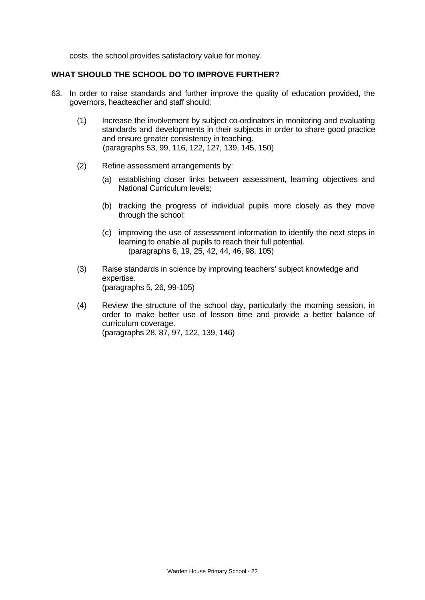costs, the school provides satisfactory value for money.

## **WHAT SHOULD THE SCHOOL DO TO IMPROVE FURTHER?**

- 63. In order to raise standards and further improve the quality of education provided, the governors, headteacher and staff should:
	- (1) Increase the involvement by subject co-ordinators in monitoring and evaluating standards and developments in their subjects in order to share good practice and ensure greater consistency in teaching. (paragraphs 53, 99, 116, 122, 127, 139, 145, 150)
	- (2) Refine assessment arrangements by:
		- (a) establishing closer links between assessment, learning objectives and National Curriculum levels;
		- (b) tracking the progress of individual pupils more closely as they move through the school;
		- (c) improving the use of assessment information to identify the next steps in learning to enable all pupils to reach their full potential. (paragraphs 6, 19, 25, 42, 44, 46, 98, 105)
	- (3) Raise standards in science by improving teachers' subject knowledge and expertise. (paragraphs 5, 26, 99-105)
	- (4) Review the structure of the school day, particularly the morning session, in order to make better use of lesson time and provide a better balance of curriculum coverage. (paragraphs 28, 87, 97, 122, 139, 146)

Warden House Primary School - 22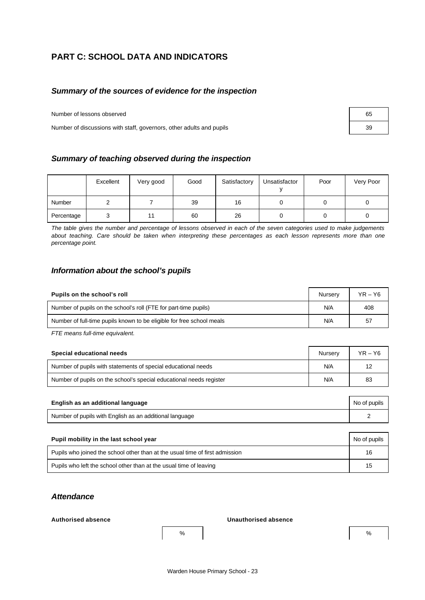# **PART C: SCHOOL DATA AND INDICATORS**

## *Summary of the sources of evidence for the inspection*

Number of lessons observed

Number of discussions with staff, governors, other adults and pupils

| 65 |  |
|----|--|
| 39 |  |

## *Summary of teaching observed during the inspection*

|               | Excellent | Very good | Good | Satisfactory | Unsatisfactor | Poor | Very Poor |
|---------------|-----------|-----------|------|--------------|---------------|------|-----------|
| <b>Number</b> |           |           | 39   | 16           |               |      |           |
| Percentage    |           |           | 60   | 26           |               |      |           |

*The table gives the number and percentage of lessons observed in each of the seven categories used to make judgements about teaching. Care should be taken when interpreting these percentages as each lesson represents more than one percentage point.*

## *Information about the school's pupils*

| Pupils on the school's roll                                           | Nurserv | $YR - Y6$ |
|-----------------------------------------------------------------------|---------|-----------|
| Number of pupils on the school's roll (FTE for part-time pupils)      | N/A     | 408       |
| Number of full-time pupils known to be eligible for free school meals | N/A     | 57        |

*FTE means full-time equivalent.*

| Special educational needs                                           | Nurserv | $YR - Y6$ |
|---------------------------------------------------------------------|---------|-----------|
| Number of pupils with statements of special educational needs       | N/A     | 12        |
| Number of pupils on the school's special educational needs register | N/A     | 83        |

| English as an additional language                       | No of pupils |
|---------------------------------------------------------|--------------|
| Number of pupils with English as an additional language |              |

| Pupil mobility in the last school year                                       | No of pupils |
|------------------------------------------------------------------------------|--------------|
| Pupils who joined the school other than at the usual time of first admission | 16           |
| Pupils who left the school other than at the usual time of leaving           | 15           |

## *Attendance*

#### **Authorised absence Unauthorised absence**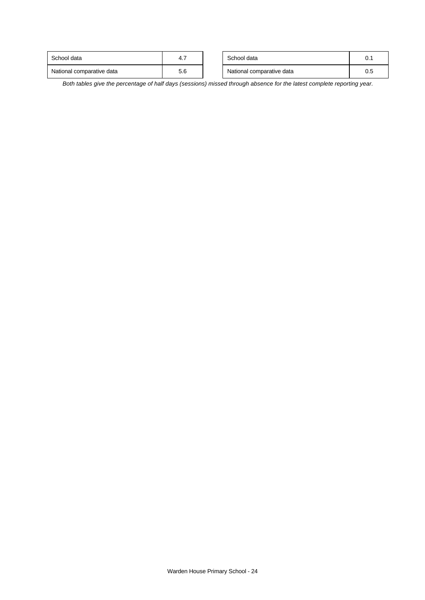| School data               | 4., | School data               | 0.1 |
|---------------------------|-----|---------------------------|-----|
| National comparative data | J.O | National comparative data | 0.5 |

*Both tables give the percentage of half days (sessions) missed through absence for the latest complete reporting year.*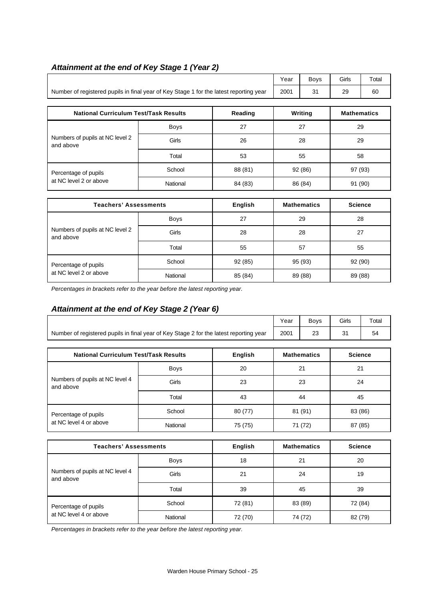|                                                                                        | Year | <b>Bovs</b> | Girls | Total |
|----------------------------------------------------------------------------------------|------|-------------|-------|-------|
| Number of registered pupils in final year of Key Stage 1 for the latest reporting year | 2001 |             | 29    | 60    |

| <b>National Curriculum Test/Task Results</b>   |             | Reading | Writing | <b>Mathematics</b> |
|------------------------------------------------|-------------|---------|---------|--------------------|
| Numbers of pupils at NC level 2<br>and above   | <b>Boys</b> | 27      | 27      | 29                 |
|                                                | Girls       | 26      | 28      | 29                 |
|                                                | Total       | 53      | 55      | 58                 |
| Percentage of pupils<br>at NC level 2 or above | School      | 88 (81) | 92 (86) | 97 (93)            |
|                                                | National    | 84 (83) | 86 (84) | 91 (90)            |

| <b>Teachers' Assessments</b>                   |             | English | <b>Mathematics</b> | <b>Science</b> |
|------------------------------------------------|-------------|---------|--------------------|----------------|
| Numbers of pupils at NC level 2<br>and above   | <b>Boys</b> | 27      | 29                 | 28             |
|                                                | Girls       | 28      | 28                 | 27             |
|                                                | Total       | 55      | 57                 | 55             |
| Percentage of pupils<br>at NC level 2 or above | School      | 92(85)  | 95 (93)            | 92 (90)        |
|                                                | National    | 85 (84) | 89 (88)            | 89 (88)        |

*Percentages in brackets refer to the year before the latest reporting year.*

# *Attainment at the end of Key Stage 2 (Year 6)*

|                                                                                        |             |         | Year | <b>Boys</b>        | Girls          | Total |
|----------------------------------------------------------------------------------------|-------------|---------|------|--------------------|----------------|-------|
| Number of registered pupils in final year of Key Stage 2 for the latest reporting year | 2001        | 23      | 31   | 54                 |                |       |
|                                                                                        |             |         |      |                    |                |       |
| <b>National Curriculum Test/Task Results</b><br><b>English</b>                         |             |         |      | <b>Mathematics</b> | <b>Science</b> |       |
| Numbers of pupils at NC level 4<br>and above                                           | <b>Boys</b> | 20      | 21   |                    | 21             |       |
|                                                                                        | Girls       | 23      | 23   |                    | 24             |       |
|                                                                                        | Total       | 43      |      | 44<br>45           |                |       |
| Percentage of pupils<br>at NC level 4 or above                                         | School      | 80 (77) |      | 81 (91)            | 83 (86)        |       |
|                                                                                        | National    | 75 (75) |      | 71 (72)            | 87 (85)        |       |
|                                                                                        |             |         |      |                    |                |       |

| <b>Teachers' Assessments</b>                 |             | English | <b>Mathematics</b> | <b>Science</b> |
|----------------------------------------------|-------------|---------|--------------------|----------------|
|                                              | <b>Boys</b> | 18      | 21                 | 20             |
| Numbers of pupils at NC level 4<br>and above | Girls       | 21      | 24                 | 19             |
|                                              | Total       | 39      | 45                 | 39             |
| Percentage of pupils                         | School      | 72 (81) | 83 (89)            | 72 (84)        |
| at NC level 4 or above                       | National    | 72 (70) | 74 (72)            | 82 (79)        |

*Percentages in brackets refer to the year before the latest reporting year.*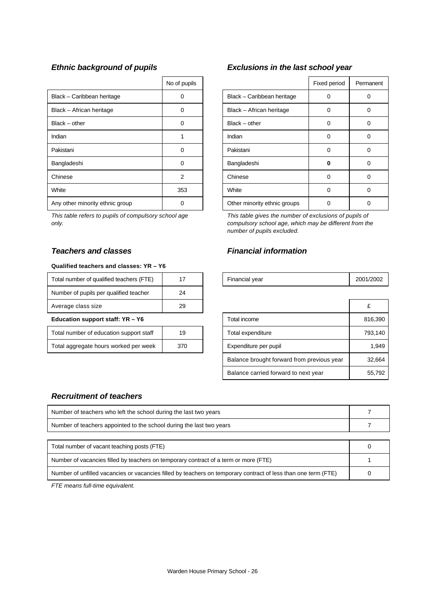|                                 | No of pupils |                              | Fixed period | Perma |
|---------------------------------|--------------|------------------------------|--------------|-------|
| Black - Caribbean heritage      | 0            | Black - Caribbean heritage   | 0            | 0     |
| Black - African heritage        | $\Omega$     | Black - African heritage     | 0            | 0     |
| $Black - other$                 | 0            | $Black - other$              | 0            | 0     |
| Indian                          |              | Indian                       | 0            | 0     |
| Pakistani                       | 0            | Pakistani                    | 0            | 0     |
| Bangladeshi                     | 0            | Bangladeshi                  | o            | 0     |
| Chinese                         | 2            | Chinese                      | 0            | 0     |
| White                           | 353          | White                        | 0            | 0     |
| Any other minority ethnic group | 0            | Other minority ethnic groups | 0            | 0     |

*This table refers to pupils of compulsory school age only.*

## *Teachers and classes Financial information*

#### **Qualified teachers and classes: YR – Y6**

| Total number of qualified teachers (FTE) |    | Financial year | 2001/ |
|------------------------------------------|----|----------------|-------|
| Number of pupils per qualified teacher   | 24 |                |       |
| Average class size                       | 29 |                | £     |
|                                          |    |                |       |

#### **Education support staff: YR - Y6**

| Total number of education support staff | 19  |
|-----------------------------------------|-----|
| Total aggregate hours worked per week   | 370 |

# *Ethnic background of pupils Exclusions in the last school year*

| No of pupils   |                              | Fixed period | Permanent |
|----------------|------------------------------|--------------|-----------|
| 0              | Black - Caribbean heritage   |              |           |
|                | Black - African heritage     | Ω            |           |
|                | $Black - other$              | O            | 0         |
|                | Indian                       | O            | 0         |
| O              | Pakistani                    | U            |           |
| ი              | Bangladeshi                  | O            |           |
| $\overline{2}$ | Chinese                      | U            |           |
| 353            | White                        | U            | Ω         |
|                | Other minority ethnic groups |              |           |

*This table gives the number of exclusions of pupils of compulsory school age, which may be different from the number of pupils excluded.*

| <br>$\overline{\phantom{a}}$<br>Total number of<br>16<br>aualified teachers ' |  | vear<br>Financial | 2001<br>1/2002 |
|-------------------------------------------------------------------------------|--|-------------------|----------------|

| Average class size                      | 29  |                                            |         |
|-----------------------------------------|-----|--------------------------------------------|---------|
| Education support staff: YR - Y6        |     | Total income                               | 816,390 |
| Total number of education support staff | 19  | Total expenditure                          | 793,140 |
| Total aggregate hours worked per week   | 370 | Expenditure per pupil                      | 1,949   |
|                                         |     | Balance brought forward from previous year | 32.664  |
|                                         |     | Balance carried forward to next year       | 55,792  |

## *Recruitment of teachers*

| Number of teachers who left the school during the last two years     |  |
|----------------------------------------------------------------------|--|
| Number of teachers appointed to the school during the last two years |  |
|                                                                      |  |

| Total number of vacant teaching posts (FTE)                                                                    |  |
|----------------------------------------------------------------------------------------------------------------|--|
| Number of vacancies filled by teachers on temporary contract of a term or more (FTE)                           |  |
| Number of unfilled vacancies or vacancies filled by teachers on temporary contract of less than one term (FTE) |  |

*FTE means full-time equivalent.*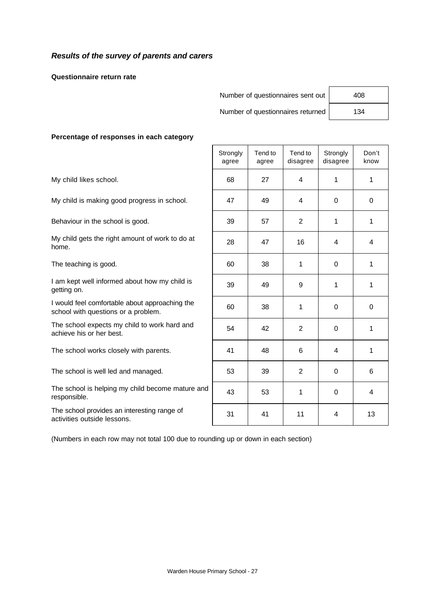## *Results of the survey of parents and carers*

**Questionnaire return rate**

| Number of questionnaires sent out | 408 |
|-----------------------------------|-----|
| Number of questionnaires returned | 134 |

| 408 |  |
|-----|--|
| 134 |  |

#### **Percentage of responses in each category**

|                                                                                       | Strongly<br>agree | Tend to<br>agree | Tend to<br>disagree | Strongly<br>disagree | Don't<br>know |
|---------------------------------------------------------------------------------------|-------------------|------------------|---------------------|----------------------|---------------|
| My child likes school.                                                                | 68                | 27               | 4                   | 1                    | 1             |
| My child is making good progress in school.                                           | 47                | 49               | 4                   | 0                    | $\mathbf 0$   |
| Behaviour in the school is good.                                                      | 39                | 57               | $\overline{2}$      | 1                    | 1             |
| My child gets the right amount of work to do at<br>home.                              | 28                | 47               | 16                  | 4                    | 4             |
| The teaching is good.                                                                 | 60                | 38               | 1                   | 0                    | 1             |
| I am kept well informed about how my child is<br>getting on.                          | 39                | 49               | 9                   | 1                    | 1             |
| I would feel comfortable about approaching the<br>school with questions or a problem. | 60                | 38               | 1                   | 0                    | $\Omega$      |
| The school expects my child to work hard and<br>achieve his or her best.              | 54                | 42               | $\mathbf{2}$        | $\Omega$             | 1             |
| The school works closely with parents.                                                | 41                | 48               | 6                   | 4                    | 1             |
| The school is well led and managed.                                                   | 53                | 39               | $\overline{2}$      | 0                    | 6             |
| The school is helping my child become mature and<br>responsible.                      | 43                | 53               | 1                   | $\Omega$             | 4             |
| The school provides an interesting range of<br>activities outside lessons.            | 31                | 41               | 11                  | 4                    | 13            |

(Numbers in each row may not total 100 due to rounding up or down in each section)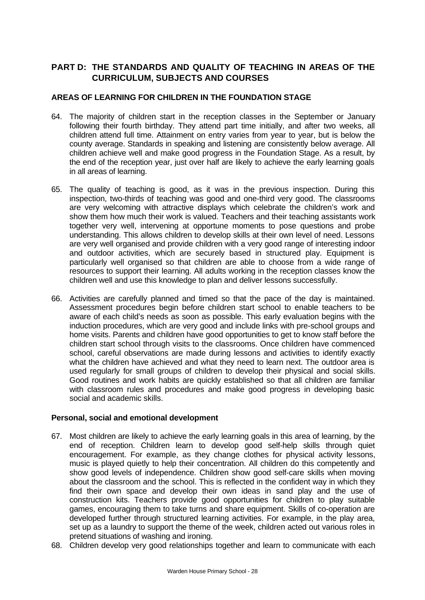# **PART D: THE STANDARDS AND QUALITY OF TEACHING IN AREAS OF THE CURRICULUM, SUBJECTS AND COURSES**

## **AREAS OF LEARNING FOR CHILDREN IN THE FOUNDATION STAGE**

- 64. The majority of children start in the reception classes in the September or January following their fourth birthday. They attend part time initially, and after two weeks, all children attend full time. Attainment on entry varies from year to year, but is below the county average. Standards in speaking and listening are consistently below average. All children achieve well and make good progress in the Foundation Stage. As a result, by the end of the reception year, just over half are likely to achieve the early learning goals in all areas of learning.
- 65. The quality of teaching is good, as it was in the previous inspection. During this inspection, two-thirds of teaching was good and one-third very good. The classrooms are very welcoming with attractive displays which celebrate the children's work and show them how much their work is valued. Teachers and their teaching assistants work together very well, intervening at opportune moments to pose questions and probe understanding. This allows children to develop skills at their own level of need. Lessons are very well organised and provide children with a very good range of interesting indoor and outdoor activities, which are securely based in structured play. Equipment is particularly well organised so that children are able to choose from a wide range of resources to support their learning. All adults working in the reception classes know the children well and use this knowledge to plan and deliver lessons successfully.
- 66. Activities are carefully planned and timed so that the pace of the day is maintained. Assessment procedures begin before children start school to enable teachers to be aware of each child's needs as soon as possible. This early evaluation begins with the induction procedures, which are very good and include links with pre-school groups and home visits. Parents and children have good opportunities to get to know staff before the children start school through visits to the classrooms. Once children have commenced school, careful observations are made during lessons and activities to identify exactly what the children have achieved and what they need to learn next. The outdoor area is used regularly for small groups of children to develop their physical and social skills. Good routines and work habits are quickly established so that all children are familiar with classroom rules and procedures and make good progress in developing basic social and academic skills.

## **Personal, social and emotional development**

- 67. Most children are likely to achieve the early learning goals in this area of learning, by the end of reception. Children learn to develop good self-help skills through quiet encouragement. For example, as they change clothes for physical activity lessons, music is played quietly to help their concentration. All children do this competently and show good levels of independence. Children show good self-care skills when moving about the classroom and the school. This is reflected in the confident way in which they find their own space and develop their own ideas in sand play and the use of construction kits. Teachers provide good opportunities for children to play suitable games, encouraging them to take turns and share equipment. Skills of co-operation are developed further through structured learning activities. For example, in the play area, set up as a laundry to support the theme of the week, children acted out various roles in pretend situations of washing and ironing.
- 68. Children develop very good relationships together and learn to communicate with each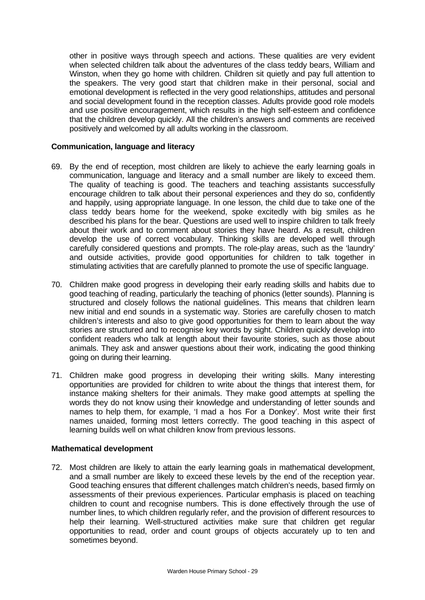other in positive ways through speech and actions. These qualities are very evident when selected children talk about the adventures of the class teddy bears, William and Winston, when they go home with children. Children sit quietly and pay full attention to the speakers. The very good start that children make in their personal, social and emotional development is reflected in the very good relationships, attitudes and personal and social development found in the reception classes. Adults provide good role models and use positive encouragement, which results in the high self-esteem and confidence that the children develop quickly. All the children's answers and comments are received positively and welcomed by all adults working in the classroom.

## **Communication, language and literacy**

- 69. By the end of reception, most children are likely to achieve the early learning goals in communication, language and literacy and a small number are likely to exceed them. The quality of teaching is good. The teachers and teaching assistants successfully encourage children to talk about their personal experiences and they do so, confidently and happily, using appropriate language. In one lesson, the child due to take one of the class teddy bears home for the weekend, spoke excitedly with big smiles as he described his plans for the bear. Questions are used well to inspire children to talk freely about their work and to comment about stories they have heard. As a result, children develop the use of correct vocabulary. Thinking skills are developed well through carefully considered questions and prompts. The role-play areas, such as the 'laundry' and outside activities, provide good opportunities for children to talk together in stimulating activities that are carefully planned to promote the use of specific language.
- 70. Children make good progress in developing their early reading skills and habits due to good teaching of reading, particularly the teaching of phonics (letter sounds). Planning is structured and closely follows the national guidelines. This means that children learn new initial and end sounds in a systematic way. Stories are carefully chosen to match children's interests and also to give good opportunities for them to learn about the way stories are structured and to recognise key words by sight. Children quickly develop into confident readers who talk at length about their favourite stories, such as those about animals. They ask and answer questions about their work, indicating the good thinking going on during their learning.
- 71. Children make good progress in developing their writing skills. Many interesting opportunities are provided for children to write about the things that interest them, for instance making shelters for their animals. They make good attempts at spelling the words they do not know using their knowledge and understanding of letter sounds and names to help them, for example, 'I mad a hos For a Donkey'. Most write their first names unaided, forming most letters correctly. The good teaching in this aspect of learning builds well on what children know from previous lessons.

## **Mathematical development**

72. Most children are likely to attain the early learning goals in mathematical development, and a small number are likely to exceed these levels by the end of the reception year. Good teaching ensures that different challenges match children's needs, based firmly on assessments of their previous experiences. Particular emphasis is placed on teaching children to count and recognise numbers. This is done effectively through the use of number lines, to which children regularly refer, and the provision of different resources to help their learning. Well-structured activities make sure that children get regular opportunities to read, order and count groups of objects accurately up to ten and sometimes beyond.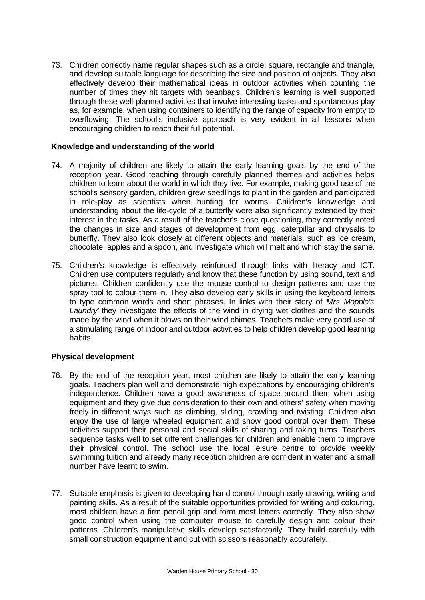73. Children correctly name regular shapes such as a circle, square, rectangle and triangle, and develop suitable language for describing the size and position of objects. They also effectively develop their mathematical ideas in outdoor activities when counting the number of times they hit targets with beanbags. Children's learning is well supported through these well-planned activities that involve interesting tasks and spontaneous play as, for example, when using containers to identifying the range of capacity from empty to overflowing. The school's inclusive approach is very evident in all lessons when encouraging children to reach their full potential.

## **Knowledge and understanding of the world**

- 74. A majority of children are likely to attain the early learning goals by the end of the reception year. Good teaching through carefully planned themes and activities helps children to learn about the world in which they live. For example, making good use of the school's sensory garden, children grew seedlings to plant in the garden and participated in role-play as scientists when hunting for worms. Children's knowledge and understanding about the life-cycle of a butterfly were also significantly extended by their interest in the tasks. As a result of the teacher's close questioning, they correctly noted the changes in size and stages of development from egg, caterpillar and chrysalis to butterfly. They also look closely at different objects and materials, such as ice cream, chocolate, apples and a spoon, and investigate which will melt and which stay the same.
- 75. Children's knowledge is effectively reinforced through links with literacy and ICT. Children use computers regularly and know that these function by using sound, text and pictures. Children confidently use the mouse control to design patterns and use the spray tool to colour them in. They also develop early skills in using the keyboard letters to type common words and short phrases. In links with their story of '*Mrs Mopple's* Laundry' they investigate the effects of the wind in drying wet clothes and the sounds made by the wind when it blows on their wind chimes. Teachers make very good use of a stimulating range of indoor and outdoor activities to help children develop good learning habits.

### **Physical development**

- 76. By the end of the reception year, most children are likely to attain the early learning goals. Teachers plan well and demonstrate high expectations by encouraging children's independence. Children have a good awareness of space around them when using equipment and they give due consideration to their own and others' safety when moving freely in different ways such as climbing, sliding, crawling and twisting. Children also enjoy the use of large wheeled equipment and show good control over them. These activities support their personal and social skills of sharing and taking turns. Teachers sequence tasks well to set different challenges for children and enable them to improve their physical control. The school use the local leisure centre to provide weekly swimming tuition and already many reception children are confident in water and a small number have learnt to swim.
- 77. Suitable emphasis is given to developing hand control through early drawing, writing and painting skills. As a result of the suitable opportunities provided for writing and colouring, most children have a firm pencil grip and form most letters correctly. They also show good control when using the computer mouse to carefully design and colour their patterns. Children's manipulative skills develop satisfactorily. They build carefully with small construction equipment and cut with scissors reasonably accurately.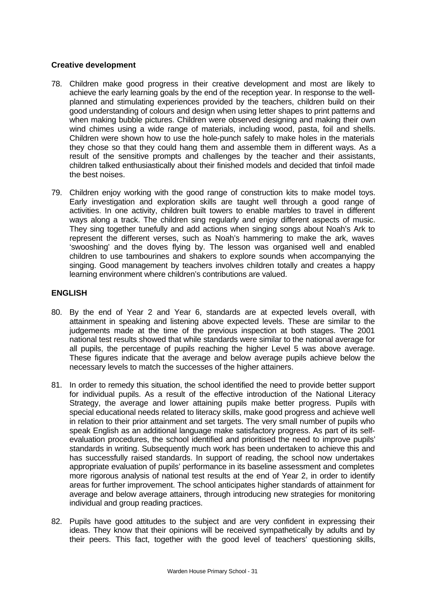## **Creative development**

- 78. Children make good progress in their creative development and most are likely to achieve the early learning goals by the end of the reception year. In response to the wellplanned and stimulating experiences provided by the teachers, children build on their good understanding of colours and design when using letter shapes to print patterns and when making bubble pictures. Children were observed designing and making their own wind chimes using a wide range of materials, including wood, pasta, foil and shells. Children were shown how to use the hole-punch safely to make holes in the materials they chose so that they could hang them and assemble them in different ways. As a result of the sensitive prompts and challenges by the teacher and their assistants, children talked enthusiastically about their finished models and decided that tinfoil made the best noises.
- 79. Children enjoy working with the good range of construction kits to make model toys. Early investigation and exploration skills are taught well through a good range of activities. In one activity, children built towers to enable marbles to travel in different ways along a track. The children sing regularly and enjoy different aspects of music. They sing together tunefully and add actions when singing songs about Noah's Ark to represent the different verses, such as Noah's hammering to make the ark, waves 'swooshing' and the doves flying by. The lesson was organised well and enabled children to use tambourines and shakers to explore sounds when accompanying the singing. Good management by teachers involves children totally and creates a happy learning environment where children's contributions are valued.

## **ENGLISH**

- 80. By the end of Year 2 and Year 6, standards are at expected levels overall, with attainment in speaking and listening above expected levels. These are similar to the judgements made at the time of the previous inspection at both stages. The 2001 national test results showed that while standards were similar to the national average for all pupils, the percentage of pupils reaching the higher Level 5 was above average. These figures indicate that the average and below average pupils achieve below the necessary levels to match the successes of the higher attainers.
- 81. In order to remedy this situation, the school identified the need to provide better support for individual pupils. As a result of the effective introduction of the National Literacy Strategy, the average and lower attaining pupils make better progress. Pupils with special educational needs related to literacy skills, make good progress and achieve well in relation to their prior attainment and set targets. The very small number of pupils who speak English as an additional language make satisfactory progress. As part of its selfevaluation procedures, the school identified and prioritised the need to improve pupils' standards in writing. Subsequently much work has been undertaken to achieve this and has successfully raised standards. In support of reading, the school now undertakes appropriate evaluation of pupils' performance in its baseline assessment and completes more rigorous analysis of national test results at the end of Year 2, in order to identify areas for further improvement. The school anticipates higher standards of attainment for average and below average attainers, through introducing new strategies for monitoring individual and group reading practices.
- 82. Pupils have good attitudes to the subject and are very confident in expressing their ideas. They know that their opinions will be received sympathetically by adults and by their peers. This fact, together with the good level of teachers' questioning skills,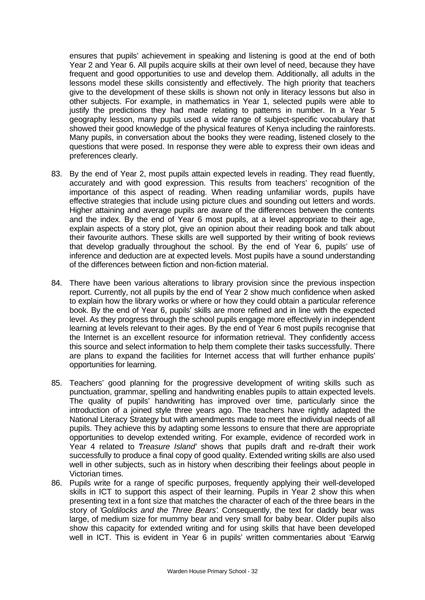ensures that pupils' achievement in speaking and listening is good at the end of both Year 2 and Year 6. All pupils acquire skills at their own level of need, because they have frequent and good opportunities to use and develop them. Additionally, all adults in the lessons model these skills consistently and effectively. The high priority that teachers give to the development of these skills is shown not only in literacy lessons but also in other subjects. For example, in mathematics in Year 1, selected pupils were able to justify the predictions they had made relating to patterns in number. In a Year 5 geography lesson, many pupils used a wide range of subject-specific vocabulary that showed their good knowledge of the physical features of Kenya including the rainforests. Many pupils, in conversation about the books they were reading, listened closely to the questions that were posed. In response they were able to express their own ideas and preferences clearly.

- 83. By the end of Year 2, most pupils attain expected levels in reading. They read fluently, accurately and with good expression. This results from teachers' recognition of the importance of this aspect of reading. When reading unfamiliar words, pupils have effective strategies that include using picture clues and sounding out letters and words. Higher attaining and average pupils are aware of the differences between the contents and the index. By the end of Year 6 most pupils, at a level appropriate to their age, explain aspects of a story plot, give an opinion about their reading book and talk about their favourite authors. These skills are well supported by their writing of book reviews that develop gradually throughout the school. By the end of Year 6, pupils' use of inference and deduction are at expected levels. Most pupils have a sound understanding of the differences between fiction and non-fiction material.
- 84. There have been various alterations to library provision since the previous inspection report. Currently, not all pupils by the end of Year 2 show much confidence when asked to explain how the library works or where or how they could obtain a particular reference book. By the end of Year 6, pupils' skills are more refined and in line with the expected level. As they progress through the school pupils engage more effectively in independent learning at levels relevant to their ages. By the end of Year 6 most pupils recognise that the Internet is an excellent resource for information retrieval. They confidently access this source and select information to help them complete their tasks successfully. There are plans to expand the facilities for Internet access that will further enhance pupils' opportunities for learning.
- 85. Teachers' good planning for the progressive development of writing skills such as punctuation, grammar, spelling and handwriting enables pupils to attain expected levels. The quality of pupils' handwriting has improved over time, particularly since the introduction of a joined style three years ago. The teachers have rightly adapted the National Literacy Strategy but with amendments made to meet the individual needs of all pupils. They achieve this by adapting some lessons to ensure that there are appropriate opportunities to develop extended writing. For example, evidence of recorded work in Year 4 related to '*Treasure Island'* shows that pupils draft and re-draft their work successfully to produce a final copy of good quality. Extended writing skills are also used well in other subjects, such as in history when describing their feelings about people in Victorian times.
- 86. Pupils write for a range of specific purposes, frequently applying their well-developed skills in ICT to support this aspect of their learning. Pupils in Year 2 show this when presenting text in a font size that matches the character of each of the three bears in the story of '*Goldilocks and the Three Bears'*. Consequently, the text for daddy bear was large, of medium size for mummy bear and very small for baby bear. Older pupils also show this capacity for extended writing and for using skills that have been developed well in ICT. This is evident in Year 6 in pupils' written commentaries about 'Earwig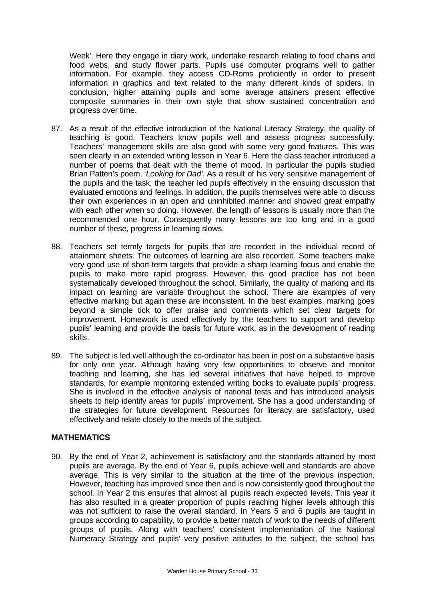Week'. Here they engage in diary work, undertake research relating to food chains and food webs, and study flower parts. Pupils use computer programs well to gather information. For example, they access CD-Roms proficiently in order to present information in graphics and text related to the many different kinds of spiders. In conclusion, higher attaining pupils and some average attainers present effective composite summaries in their own style that show sustained concentration and progress over time.

- 87. As a result of the effective introduction of the National Literacy Strategy, the quality of teaching is good. Teachers know pupils well and assess progress successfully. Teachers' management skills are also good with some very good features. This was seen clearly in an extended writing lesson in Year 6. Here the class teacher introduced a number of poems that dealt with the theme of mood. In particular the pupils studied Brian Patten's poem, '*Looking for Dad'*. As a result of his very sensitive management of the pupils and the task, the teacher led pupils effectively in the ensuing discussion that evaluated emotions and feelings. In addition, the pupils themselves were able to discuss their own experiences in an open and uninhibited manner and showed great empathy with each other when so doing. However, the length of lessons is usually more than the recommended one hour. Consequently many lessons are too long and in a good number of these, progress in learning slows.
- 88. Teachers set termly targets for pupils that are recorded in the individual record of attainment sheets. The outcomes of learning are also recorded. Some teachers make very good use of short-term targets that provide a sharp learning focus and enable the pupils to make more rapid progress. However, this good practice has not been systematically developed throughout the school. Similarly, the quality of marking and its impact on learning are variable throughout the school. There are examples of very effective marking but again these are inconsistent. In the best examples, marking goes beyond a simple tick to offer praise and comments which set clear targets for improvement. Homework is used effectively by the teachers to support and develop pupils' learning and provide the basis for future work, as in the development of reading skills.
- 89. The subject is led well although the co-ordinator has been in post on a substantive basis for only one year. Although having very few opportunities to observe and monitor teaching and learning, she has led several initiatives that have helped to improve standards, for example monitoring extended writing books to evaluate pupils' progress. She is involved in the effective analysis of national tests and has introduced analysis sheets to help identify areas for pupils' improvement. She has a good understanding of the strategies for future development. Resources for literacy are satisfactory, used effectively and relate closely to the needs of the subject.

## **MATHEMATICS**

90. By the end of Year 2, achievement is satisfactory and the standards attained by most pupils are average. By the end of Year 6, pupils achieve well and standards are above average. This is very similar to the situation at the time of the previous inspection. However, teaching has improved since then and is now consistently good throughout the school. In Year 2 this ensures that almost all pupils reach expected levels. This year it has also resulted in a greater proportion of pupils reaching higher levels although this was not sufficient to raise the overall standard. In Years 5 and 6 pupils are taught in groups according to capability, to provide a better match of work to the needs of different groups of pupils. Along with teachers' consistent implementation of the National Numeracy Strategy and pupils' very positive attitudes to the subject, the school has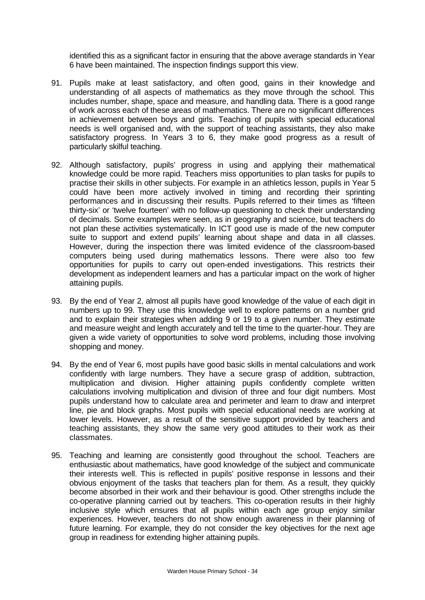identified this as a significant factor in ensuring that the above average standards in Year 6 have been maintained. The inspection findings support this view.

- 91. Pupils make at least satisfactory, and often good, gains in their knowledge and understanding of all aspects of mathematics as they move through the school. This includes number, shape, space and measure, and handling data. There is a good range of work across each of these areas of mathematics. There are no significant differences in achievement between boys and girls. Teaching of pupils with special educational needs is well organised and, with the support of teaching assistants, they also make satisfactory progress. In Years 3 to 6, they make good progress as a result of particularly skilful teaching.
- 92. Although satisfactory, pupils' progress in using and applying their mathematical knowledge could be more rapid. Teachers miss opportunities to plan tasks for pupils to practise their skills in other subjects. For example in an athletics lesson, pupils in Year 5 could have been more actively involved in timing and recording their sprinting performances and in discussing their results. Pupils referred to their times as 'fifteen thirty-six' or 'twelve fourteen' with no follow-up questioning to check their understanding of decimals. Some examples were seen, as in geography and science, but teachers do not plan these activities systematically. In ICT good use is made of the new computer suite to support and extend pupils' learning about shape and data in all classes. However, during the inspection there was limited evidence of the classroom-based computers being used during mathematics lessons. There were also too few opportunities for pupils to carry out open-ended investigations. This restricts their development as independent learners and has a particular impact on the work of higher attaining pupils.
- 93. By the end of Year 2, almost all pupils have good knowledge of the value of each digit in numbers up to 99. They use this knowledge well to explore patterns on a number grid and to explain their strategies when adding 9 or 19 to a given number. They estimate and measure weight and length accurately and tell the time to the quarter-hour. They are given a wide variety of opportunities to solve word problems, including those involving shopping and money.
- 94. By the end of Year 6, most pupils have good basic skills in mental calculations and work confidently with large numbers. They have a secure grasp of addition, subtraction, multiplication and division. Higher attaining pupils confidently complete written calculations involving multiplication and division of three and four digit numbers. Most pupils understand how to calculate area and perimeter and learn to draw and interpret line, pie and block graphs. Most pupils with special educational needs are working at lower levels. However, as a result of the sensitive support provided by teachers and teaching assistants, they show the same very good attitudes to their work as their classmates.
- 95. Teaching and learning are consistently good throughout the school. Teachers are enthusiastic about mathematics, have good knowledge of the subject and communicate their interests well. This is reflected in pupils' positive response in lessons and their obvious enjoyment of the tasks that teachers plan for them. As a result, they quickly become absorbed in their work and their behaviour is good. Other strengths include the co-operative planning carried out by teachers. This co-operation results in their highly inclusive style which ensures that all pupils within each age group enjoy similar experiences. However, teachers do not show enough awareness in their planning of future learning. For example, they do not consider the key objectives for the next age group in readiness for extending higher attaining pupils.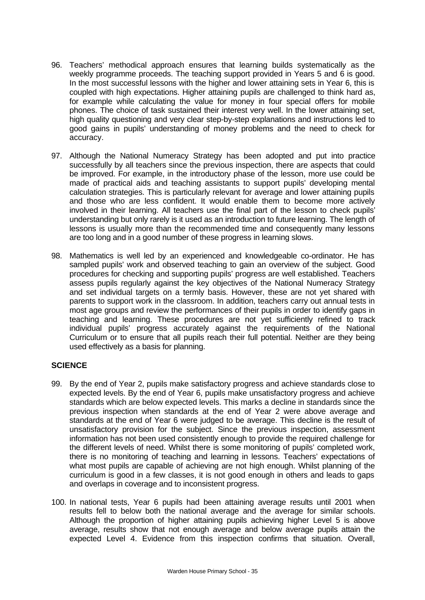- 96. Teachers' methodical approach ensures that learning builds systematically as the weekly programme proceeds. The teaching support provided in Years 5 and 6 is good. In the most successful lessons with the higher and lower attaining sets in Year 6, this is coupled with high expectations. Higher attaining pupils are challenged to think hard as, for example while calculating the value for money in four special offers for mobile phones. The choice of task sustained their interest very well. In the lower attaining set, high quality questioning and very clear step-by-step explanations and instructions led to good gains in pupils' understanding of money problems and the need to check for accuracy.
- 97. Although the National Numeracy Strategy has been adopted and put into practice successfully by all teachers since the previous inspection, there are aspects that could be improved. For example, in the introductory phase of the lesson, more use could be made of practical aids and teaching assistants to support pupils' developing mental calculation strategies. This is particularly relevant for average and lower attaining pupils and those who are less confident. It would enable them to become more actively involved in their learning. All teachers use the final part of the lesson to check pupils' understanding but only rarely is it used as an introduction to future learning. The length of lessons is usually more than the recommended time and consequently many lessons are too long and in a good number of these progress in learning slows.
- 98. Mathematics is well led by an experienced and knowledgeable co-ordinator. He has sampled pupils' work and observed teaching to gain an overview of the subject. Good procedures for checking and supporting pupils' progress are well established. Teachers assess pupils regularly against the key objectives of the National Numeracy Strategy and set individual targets on a termly basis. However, these are not yet shared with parents to support work in the classroom. In addition, teachers carry out annual tests in most age groups and review the performances of their pupils in order to identify gaps in teaching and learning. These procedures are not yet sufficiently refined to track individual pupils' progress accurately against the requirements of the National Curriculum or to ensure that all pupils reach their full potential. Neither are they being used effectively as a basis for planning.

## **SCIENCE**

- 99. By the end of Year 2, pupils make satisfactory progress and achieve standards close to expected levels. By the end of Year 6, pupils make unsatisfactory progress and achieve standards which are below expected levels. This marks a decline in standards since the previous inspection when standards at the end of Year 2 were above average and standards at the end of Year 6 were judged to be average. This decline is the result of unsatisfactory provision for the subject. Since the previous inspection, assessment information has not been used consistently enough to provide the required challenge for the different levels of need. Whilst there is some monitoring of pupils' completed work, there is no monitoring of teaching and learning in lessons. Teachers' expectations of what most pupils are capable of achieving are not high enough. Whilst planning of the curriculum is good in a few classes, it is not good enough in others and leads to gaps and overlaps in coverage and to inconsistent progress.
- 100. In national tests, Year 6 pupils had been attaining average results until 2001 when results fell to below both the national average and the average for similar schools. Although the proportion of higher attaining pupils achieving higher Level 5 is above average, results show that not enough average and below average pupils attain the expected Level 4. Evidence from this inspection confirms that situation. Overall,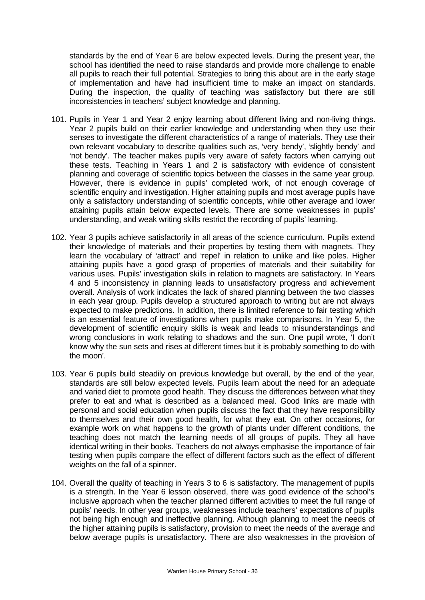standards by the end of Year 6 are below expected levels. During the present year, the school has identified the need to raise standards and provide more challenge to enable all pupils to reach their full potential. Strategies to bring this about are in the early stage of implementation and have had insufficient time to make an impact on standards. During the inspection, the quality of teaching was satisfactory but there are still inconsistencies in teachers' subject knowledge and planning.

- 101. Pupils in Year 1 and Year 2 enjoy learning about different living and non-living things. Year 2 pupils build on their earlier knowledge and understanding when they use their senses to investigate the different characteristics of a range of materials. They use their own relevant vocabulary to describe qualities such as, 'very bendy', 'slightly bendy' and 'not bendy'. The teacher makes pupils very aware of safety factors when carrying out these tests. Teaching in Years 1 and 2 is satisfactory with evidence of consistent planning and coverage of scientific topics between the classes in the same year group. However, there is evidence in pupils' completed work, of not enough coverage of scientific enquiry and investigation. Higher attaining pupils and most average pupils have only a satisfactory understanding of scientific concepts, while other average and lower attaining pupils attain below expected levels. There are some weaknesses in pupils' understanding, and weak writing skills restrict the recording of pupils' learning.
- 102. Year 3 pupils achieve satisfactorily in all areas of the science curriculum. Pupils extend their knowledge of materials and their properties by testing them with magnets. They learn the vocabulary of 'attract' and 'repel' in relation to unlike and like poles. Higher attaining pupils have a good grasp of properties of materials and their suitability for various uses. Pupils' investigation skills in relation to magnets are satisfactory. In Years 4 and 5 inconsistency in planning leads to unsatisfactory progress and achievement overall. Analysis of work indicates the lack of shared planning between the two classes in each year group. Pupils develop a structured approach to writing but are not always expected to make predictions. In addition, there is limited reference to fair testing which is an essential feature of investigations when pupils make comparisons. In Year 5, the development of scientific enquiry skills is weak and leads to misunderstandings and wrong conclusions in work relating to shadows and the sun. One pupil wrote, 'I don't know why the sun sets and rises at different times but it is probably something to do with the moon'.
- 103. Year 6 pupils build steadily on previous knowledge but overall, by the end of the year, standards are still below expected levels. Pupils learn about the need for an adequate and varied diet to promote good health. They discuss the differences between what they prefer to eat and what is described as a balanced meal. Good links are made with personal and social education when pupils discuss the fact that they have responsibility to themselves and their own good health, for what they eat. On other occasions, for example work on what happens to the growth of plants under different conditions, the teaching does not match the learning needs of all groups of pupils. They all have identical writing in their books. Teachers do not always emphasise the importance of fair testing when pupils compare the effect of different factors such as the effect of different weights on the fall of a spinner.
- 104. Overall the quality of teaching in Years 3 to 6 is satisfactory. The management of pupils is a strength. In the Year 6 lesson observed, there was good evidence of the school's inclusive approach when the teacher planned different activities to meet the full range of pupils' needs. In other year groups, weaknesses include teachers' expectations of pupils not being high enough and ineffective planning. Although planning to meet the needs of the higher attaining pupils is satisfactory, provision to meet the needs of the average and below average pupils is unsatisfactory. There are also weaknesses in the provision of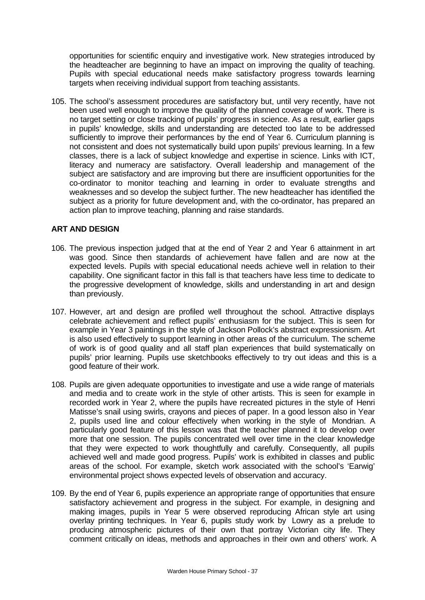opportunities for scientific enquiry and investigative work. New strategies introduced by the headteacher are beginning to have an impact on improving the quality of teaching. Pupils with special educational needs make satisfactory progress towards learning targets when receiving individual support from teaching assistants.

105. The school's assessment procedures are satisfactory but, until very recently, have not been used well enough to improve the quality of the planned coverage of work. There is no target setting or close tracking of pupils' progress in science. As a result, earlier gaps in pupils' knowledge, skills and understanding are detected too late to be addressed sufficiently to improve their performances by the end of Year 6. Curriculum planning is not consistent and does not systematically build upon pupils' previous learning. In a few classes, there is a lack of subject knowledge and expertise in science. Links with ICT, literacy and numeracy are satisfactory. Overall leadership and management of the subject are satisfactory and are improving but there are insufficient opportunities for the co-ordinator to monitor teaching and learning in order to evaluate strengths and weaknesses and so develop the subject further. The new headteacher has identified the subject as a priority for future development and, with the co-ordinator, has prepared an action plan to improve teaching, planning and raise standards.

## **ART AND DESIGN**

- 106. The previous inspection judged that at the end of Year 2 and Year 6 attainment in art was good. Since then standards of achievement have fallen and are now at the expected levels. Pupils with special educational needs achieve well in relation to their capability. One significant factor in this fall is that teachers have less time to dedicate to the progressive development of knowledge, skills and understanding in art and design than previously.
- 107. However, art and design are profiled well throughout the school. Attractive displays celebrate achievement and reflect pupils' enthusiasm for the subject. This is seen for example in Year 3 paintings in the style of Jackson Pollock's abstract expressionism. Art is also used effectively to support learning in other areas of the curriculum. The scheme of work is of good quality and all staff plan experiences that build systematically on pupils' prior learning. Pupils use sketchbooks effectively to try out ideas and this is a good feature of their work.
- 108. Pupils are given adequate opportunities to investigate and use a wide range of materials and media and to create work in the style of other artists. This is seen for example in recorded work in Year 2, where the pupils have recreated pictures in the style of Henri Matisse's snail using swirls, crayons and pieces of paper. In a good lesson also in Year 2, pupils used line and colour effectively when working in the style of Mondrian. A particularly good feature of this lesson was that the teacher planned it to develop over more that one session. The pupils concentrated well over time in the clear knowledge that they were expected to work thoughtfully and carefully. Consequently, all pupils achieved well and made good progress. Pupils' work is exhibited in classes and public areas of the school. For example, sketch work associated with the school's 'Earwig' environmental project shows expected levels of observation and accuracy.
- 109. By the end of Year 6, pupils experience an appropriate range of opportunities that ensure satisfactory achievement and progress in the subject. For example, in designing and making images, pupils in Year 5 were observed reproducing African style art using overlay printing techniques. In Year 6, pupils study work by Lowry as a prelude to producing atmospheric pictures of their own that portray Victorian city life. They comment critically on ideas, methods and approaches in their own and others' work. A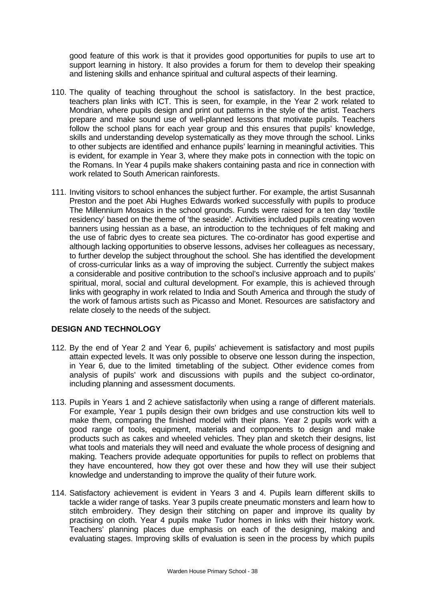good feature of this work is that it provides good opportunities for pupils to use art to support learning in history. It also provides a forum for them to develop their speaking and listening skills and enhance spiritual and cultural aspects of their learning.

- 110. The quality of teaching throughout the school is satisfactory. In the best practice, teachers plan links with ICT. This is seen, for example, in the Year 2 work related to Mondrian, where pupils design and print out patterns in the style of the artist. Teachers prepare and make sound use of well-planned lessons that motivate pupils. Teachers follow the school plans for each year group and this ensures that pupils' knowledge, skills and understanding develop systematically as they move through the school. Links to other subjects are identified and enhance pupils' learning in meaningful activities. This is evident, for example in Year 3, where they make pots in connection with the topic on the Romans. In Year 4 pupils make shakers containing pasta and rice in connection with work related to South American rainforests.
- 111. Inviting visitors to school enhances the subject further. For example, the artist Susannah Preston and the poet Abi Hughes Edwards worked successfully with pupils to produce The Millennium Mosaics in the school grounds. Funds were raised for a ten day 'textile residency' based on the theme of 'the seaside'. Activities included pupils creating woven banners using hessian as a base, an introduction to the techniques of felt making and the use of fabric dyes to create sea pictures. The co-ordinator has good expertise and although lacking opportunities to observe lessons, advises her colleagues as necessary, to further develop the subject throughout the school. She has identified the development of cross-curricular links as a way of improving the subject. Currently the subject makes a considerable and positive contribution to the school's inclusive approach and to pupils' spiritual, moral, social and cultural development. For example, this is achieved through links with geography in work related to India and South America and through the study of the work of famous artists such as Picasso and Monet. Resources are satisfactory and relate closely to the needs of the subject.

## **DESIGN AND TECHNOLOGY**

- 112. By the end of Year 2 and Year 6, pupils' achievement is satisfactory and most pupils attain expected levels. It was only possible to observe one lesson during the inspection, in Year 6, due to the limited timetabling of the subject. Other evidence comes from analysis of pupils' work and discussions with pupils and the subject co-ordinator, including planning and assessment documents.
- 113. Pupils in Years 1 and 2 achieve satisfactorily when using a range of different materials. For example, Year 1 pupils design their own bridges and use construction kits well to make them, comparing the finished model with their plans. Year 2 pupils work with a good range of tools, equipment, materials and components to design and make products such as cakes and wheeled vehicles. They plan and sketch their designs, list what tools and materials they will need and evaluate the whole process of designing and making. Teachers provide adequate opportunities for pupils to reflect on problems that they have encountered, how they got over these and how they will use their subject knowledge and understanding to improve the quality of their future work.
- 114. Satisfactory achievement is evident in Years 3 and 4. Pupils learn different skills to tackle a wider range of tasks. Year 3 pupils create pneumatic monsters and learn how to stitch embroidery. They design their stitching on paper and improve its quality by practising on cloth. Year 4 pupils make Tudor homes in links with their history work. Teachers' planning places due emphasis on each of the designing, making and evaluating stages. Improving skills of evaluation is seen in the process by which pupils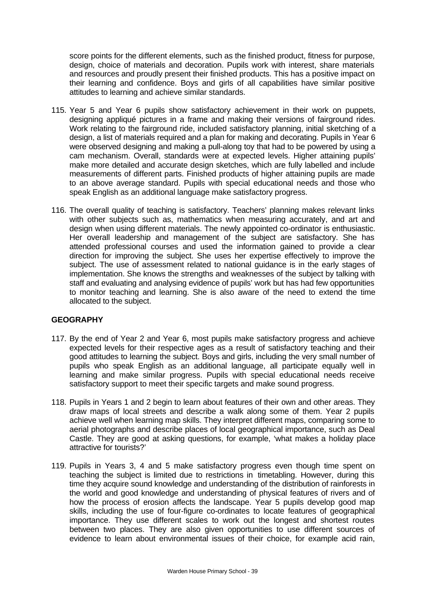score points for the different elements, such as the finished product, fitness for purpose, design, choice of materials and decoration. Pupils work with interest, share materials and resources and proudly present their finished products. This has a positive impact on their learning and confidence. Boys and girls of all capabilities have similar positive attitudes to learning and achieve similar standards.

- 115. Year 5 and Year 6 pupils show satisfactory achievement in their work on puppets, designing appliqué pictures in a frame and making their versions of fairground rides. Work relating to the fairground ride, included satisfactory planning, initial sketching of a design, a list of materials required and a plan for making and decorating. Pupils in Year 6 were observed designing and making a pull-along toy that had to be powered by using a cam mechanism. Overall, standards were at expected levels. Higher attaining pupils' make more detailed and accurate design sketches, which are fully labelled and include measurements of different parts. Finished products of higher attaining pupils are made to an above average standard. Pupils with special educational needs and those who speak English as an additional language make satisfactory progress.
- 116. The overall quality of teaching is satisfactory. Teachers' planning makes relevant links with other subjects such as, mathematics when measuring accurately, and art and design when using different materials. The newly appointed co-ordinator is enthusiastic. Her overall leadership and management of the subject are satisfactory. She has attended professional courses and used the information gained to provide a clear direction for improving the subject. She uses her expertise effectively to improve the subject. The use of assessment related to national guidance is in the early stages of implementation. She knows the strengths and weaknesses of the subject by talking with staff and evaluating and analysing evidence of pupils' work but has had few opportunities to monitor teaching and learning. She is also aware of the need to extend the time allocated to the subject.

## **GEOGRAPHY**

- 117. By the end of Year 2 and Year 6, most pupils make satisfactory progress and achieve expected levels for their respective ages as a result of satisfactory teaching and their good attitudes to learning the subject. Boys and girls, including the very small number of pupils who speak English as an additional language, all participate equally well in learning and make similar progress. Pupils with special educational needs receive satisfactory support to meet their specific targets and make sound progress.
- 118. Pupils in Years 1 and 2 begin to learn about features of their own and other areas. They draw maps of local streets and describe a walk along some of them. Year 2 pupils achieve well when learning map skills. They interpret different maps, comparing some to aerial photographs and describe places of local geographical importance, such as Deal Castle. They are good at asking questions, for example, 'what makes a holiday place attractive for tourists?'
- 119. Pupils in Years 3, 4 and 5 make satisfactory progress even though time spent on teaching the subject is limited due to restrictions in timetabling. However, during this time they acquire sound knowledge and understanding of the distribution of rainforests in the world and good knowledge and understanding of physical features of rivers and of how the process of erosion affects the landscape. Year 5 pupils develop good map skills, including the use of four-figure co-ordinates to locate features of geographical importance. They use different scales to work out the longest and shortest routes between two places. They are also given opportunities to use different sources of evidence to learn about environmental issues of their choice, for example acid rain,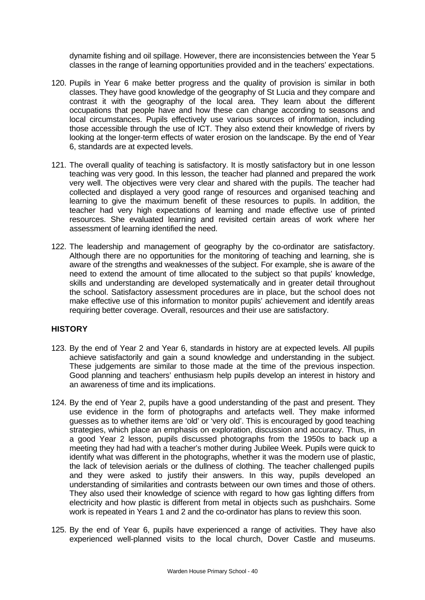dynamite fishing and oil spillage. However, there are inconsistencies between the Year 5 classes in the range of learning opportunities provided and in the teachers' expectations.

- 120. Pupils in Year 6 make better progress and the quality of provision is similar in both classes. They have good knowledge of the geography of St Lucia and they compare and contrast it with the geography of the local area. They learn about the different occupations that people have and how these can change according to seasons and local circumstances. Pupils effectively use various sources of information, including those accessible through the use of ICT. They also extend their knowledge of rivers by looking at the longer-term effects of water erosion on the landscape. By the end of Year 6, standards are at expected levels.
- 121. The overall quality of teaching is satisfactory. It is mostly satisfactory but in one lesson teaching was very good. In this lesson, the teacher had planned and prepared the work very well. The objectives were very clear and shared with the pupils. The teacher had collected and displayed a very good range of resources and organised teaching and learning to give the maximum benefit of these resources to pupils. In addition, the teacher had very high expectations of learning and made effective use of printed resources. She evaluated learning and revisited certain areas of work where her assessment of learning identified the need.
- 122. The leadership and management of geography by the co-ordinator are satisfactory. Although there are no opportunities for the monitoring of teaching and learning, she is aware of the strengths and weaknesses of the subject. For example, she is aware of the need to extend the amount of time allocated to the subject so that pupils' knowledge, skills and understanding are developed systematically and in greater detail throughout the school. Satisfactory assessment procedures are in place, but the school does not make effective use of this information to monitor pupils' achievement and identify areas requiring better coverage. Overall, resources and their use are satisfactory.

## **HISTORY**

- 123. By the end of Year 2 and Year 6, standards in history are at expected levels. All pupils achieve satisfactorily and gain a sound knowledge and understanding in the subject. These judgements are similar to those made at the time of the previous inspection. Good planning and teachers' enthusiasm help pupils develop an interest in history and an awareness of time and its implications.
- 124. By the end of Year 2, pupils have a good understanding of the past and present. They use evidence in the form of photographs and artefacts well. They make informed guesses as to whether items are 'old' or 'very old'. This is encouraged by good teaching strategies, which place an emphasis on exploration, discussion and accuracy. Thus, in a good Year 2 lesson, pupils discussed photographs from the 1950s to back up a meeting they had had with a teacher's mother during Jubilee Week. Pupils were quick to identify what was different in the photographs, whether it was the modern use of plastic, the lack of television aerials or the dullness of clothing. The teacher challenged pupils and they were asked to justify their answers. In this way, pupils developed an understanding of similarities and contrasts between our own times and those of others. They also used their knowledge of science with regard to how gas lighting differs from electricity and how plastic is different from metal in objects such as pushchairs. Some work is repeated in Years 1 and 2 and the co-ordinator has plans to review this soon.
- 125. By the end of Year 6, pupils have experienced a range of activities. They have also experienced well-planned visits to the local church, Dover Castle and museums.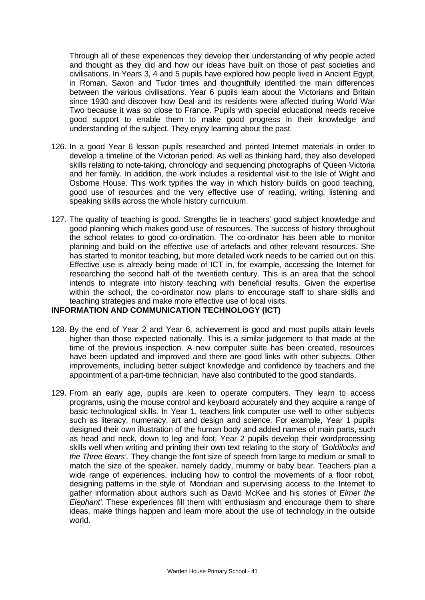Through all of these experiences they develop their understanding of why people acted and thought as they did and how our ideas have built on those of past societies and civilisations. In Years 3, 4 and 5 pupils have explored how people lived in Ancient Egypt, in Roman, Saxon and Tudor times and thoughtfully identified the main differences between the various civilisations. Year 6 pupils learn about the Victorians and Britain since 1930 and discover how Deal and its residents were affected during World War Two because it was so close to France. Pupils with special educational needs receive good support to enable them to make good progress in their knowledge and understanding of the subject. They enjoy learning about the past.

- 126. In a good Year 6 lesson pupils researched and printed Internet materials in order to develop a timeline of the Victorian period. As well as thinking hard, they also developed skills relating to note-taking, chronology and sequencing photographs of Queen Victoria and her family. In addition, the work includes a residential visit to the Isle of Wight and Osborne House. This work typifies the way in which history builds on good teaching, good use of resources and the very effective use of reading, writing, listening and speaking skills across the whole history curriculum.
- 127. The quality of teaching is good. Strengths lie in teachers' good subject knowledge and good planning which makes good use of resources. The success of history throughout the school relates to good co-ordination. The co-ordinator has been able to monitor planning and build on the effective use of artefacts and other relevant resources. She has started to monitor teaching, but more detailed work needs to be carried out on this. Effective use is already being made of ICT in, for example, accessing the Internet for researching the second half of the twentieth century. This is an area that the school intends to integrate into history teaching with beneficial results. Given the expertise within the school, the co-ordinator now plans to encourage staff to share skills and teaching strategies and make more effective use of local visits.

## **INFORMATION AND COMMUNICATION TECHNOLOGY (ICT)**

- 128. By the end of Year 2 and Year 6, achievement is good and most pupils attain levels higher than those expected nationally. This is a similar judgement to that made at the time of the previous inspection. A new computer suite has been created, resources have been updated and improved and there are good links with other subjects. Other improvements, including better subject knowledge and confidence by teachers and the appointment of a part-time technician, have also contributed to the good standards.
- 129. From an early age, pupils are keen to operate computers. They learn to access programs, using the mouse control and keyboard accurately and they acquire a range of basic technological skills. In Year 1, teachers link computer use well to other subjects such as literacy, numeracy, art and design and science. For example, Year 1 pupils designed their own illustration of the human body and added names of main parts, such as head and neck, down to leg and foot. Year 2 pupils develop their wordprocessing skills well when writing and printing their own text relating to the story of *'Goldilocks and the Three Bears'.* They change the font size of speech from large to medium or small to match the size of the speaker, namely daddy, mummy or baby bear. Teachers plan a wide range of experiences, including how to control the movements of a floor robot, designing patterns in the style of Mondrian and supervising access to the Internet to gather information about authors such as David McKee and his stories of '*Elmer the Elephant'*. These experiences fill them with enthusiasm and encourage them to share ideas, make things happen and learn more about the use of technology in the outside world.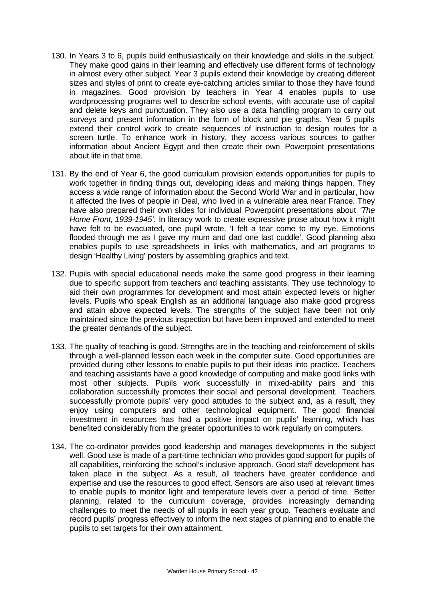- 130. In Years 3 to 6, pupils build enthusiastically on their knowledge and skills in the subject. They make good gains in their learning and effectively use different forms of technology in almost every other subject. Year 3 pupils extend their knowledge by creating different sizes and styles of print to create eye-catching articles similar to those they have found in magazines. Good provision by teachers in Year 4 enables pupils to use wordprocessing programs well to describe school events, with accurate use of capital and delete keys and punctuation. They also use a data handling program to carry out surveys and present information in the form of block and pie graphs. Year 5 pupils extend their control work to create sequences of instruction to design routes for a screen turtle. To enhance work in history, they access various sources to gather information about Ancient Egypt and then create their own Powerpoint presentations about life in that time.
- 131. By the end of Year 6, the good curriculum provision extends opportunities for pupils to work together in finding things out, developing ideas and making things happen. They access a wide range of information about the Second World War and in particular, how it affected the lives of people in Deal, who lived in a vulnerable area near France. They have also prepared their own slides for individual Powerpoint presentations about *'The Home Front, 1939-1945'.* In literacy work to create expressive prose about how it might have felt to be evacuated, one pupil wrote, 'I felt a tear come to my eye. Emotions flooded through me as I gave my mum and dad one last cuddle'. Good planning also enables pupils to use spreadsheets in links with mathematics, and art programs to design 'Healthy Living' posters by assembling graphics and text.
- 132. Pupils with special educational needs make the same good progress in their learning due to specific support from teachers and teaching assistants. They use technology to aid their own programmes for development and most attain expected levels or higher levels. Pupils who speak English as an additional language also make good progress and attain above expected levels. The strengths of the subject have been not only maintained since the previous inspection but have been improved and extended to meet the greater demands of the subject.
- 133. The quality of teaching is good. Strengths are in the teaching and reinforcement of skills through a well-planned lesson each week in the computer suite. Good opportunities are provided during other lessons to enable pupils to put their ideas into practice. Teachers and teaching assistants have a good knowledge of computing and make good links with most other subjects. Pupils work successfully in mixed-ability pairs and this collaboration successfully promotes their social and personal development. Teachers successfully promote pupils' very good attitudes to the subject and, as a result, they enjoy using computers and other technological equipment. The good financial investment in resources has had a positive impact on pupils' learning, which has benefited considerably from the greater opportunities to work regularly on computers.
- 134. The co-ordinator provides good leadership and manages developments in the subject well. Good use is made of a part-time technician who provides good support for pupils of all capabilities, reinforcing the school's inclusive approach. Good staff development has taken place in the subject. As a result, all teachers have greater confidence and expertise and use the resources to good effect. Sensors are also used at relevant times to enable pupils to monitor light and temperature levels over a period of time. Better planning, related to the curriculum coverage, provides increasingly demanding challenges to meet the needs of all pupils in each year group. Teachers evaluate and record pupils' progress effectively to inform the next stages of planning and to enable the pupils to set targets for their own attainment.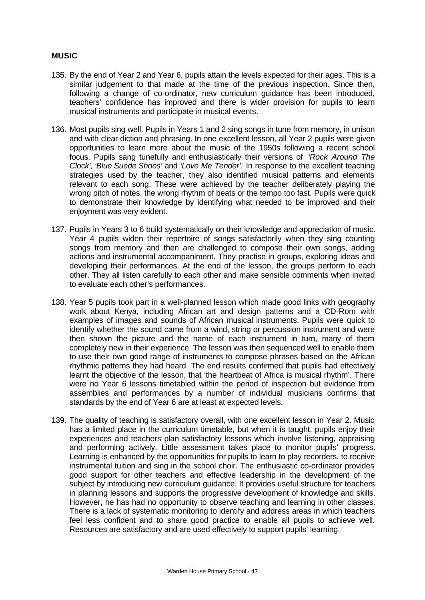## **MUSIC**

- 135. By the end of Year 2 and Year 6, pupils attain the levels expected for their ages. This is a similar judgement to that made at the time of the previous inspection. Since then, following a change of co-ordinator, new curriculum guidance has been introduced, teachers' confidence has improved and there is wider provision for pupils to learn musical instruments and participate in musical events.
- 136. Most pupils sing well. Pupils in Years 1 and 2 sing songs in tune from memory, in unison and with clear diction and phrasing. In one excellent lesson, all Year 2 pupils were given opportunities to learn more about the music of the 1950s following a recent school focus. Pupils sang tunefully and enthusiastically their versions of *'Rock Around The Clock', 'Blue Suede Shoes'* and *'Love Me Tender'.* In response to the excellent teaching strategies used by the teacher, they also identified musical patterns and elements relevant to each song. These were achieved by the teacher deliberately playing the wrong pitch of notes, the wrong rhythm of beats or the tempo too fast. Pupils were quick to demonstrate their knowledge by identifying what needed to be improved and their enjoyment was very evident.
- 137. Pupils in Years 3 to 6 build systematically on their knowledge and appreciation of music. Year 4 pupils widen their repertoire of songs satisfactorily when they sing counting songs from memory and then are challenged to compose their own songs, adding actions and instrumental accompaniment. They practise in groups, exploring ideas and developing their performances. At the end of the lesson, the groups perform to each other. They all listen carefully to each other and make sensible comments when invited to evaluate each other's performances.
- 138. Year 5 pupils took part in a well-planned lesson which made good links with geography work about Kenya, including African art and design patterns and a CD-Rom with examples of images and sounds of African musical instruments. Pupils were quick to identify whether the sound came from a wind, string or percussion instrument and were then shown the picture and the name of each instrument in turn, many of them completely new in their experience. The lesson was then sequenced well to enable them to use their own good range of instruments to compose phrases based on the African rhythmic patterns they had heard. The end results confirmed that pupils had effectively learnt the objective of the lesson, that 'the heartbeat of Africa is musical rhythm'. There were no Year 6 lessons timetabled within the period of inspection but evidence from assemblies and performances by a number of individual musicians confirms that standards by the end of Year 6 are at least at expected levels.
- 139. The quality of teaching is satisfactory overall, with one excellent lesson in Year 2. Music has a limited place in the curriculum timetable, but when it is taught, pupils enjoy their experiences and teachers plan satisfactory lessons which involve listening, appraising and performing actively. Little assessment takes place to monitor pupils' progress. Learning is enhanced by the opportunities for pupils to learn to play recorders, to receive instrumental tuition and sing in the school choir. The enthusiastic co-ordinator provides good support for other teachers and effective leadership in the development of the subject by introducing new curriculum guidance. It provides useful structure for teachers in planning lessons and supports the progressive development of knowledge and skills. However, he has had no opportunity to observe teaching and learning in other classes. There is a lack of systematic monitoring to identify and address areas in which teachers feel less confident and to share good practice to enable all pupils to achieve well. Resources are satisfactory and are used effectively to support pupils' learning.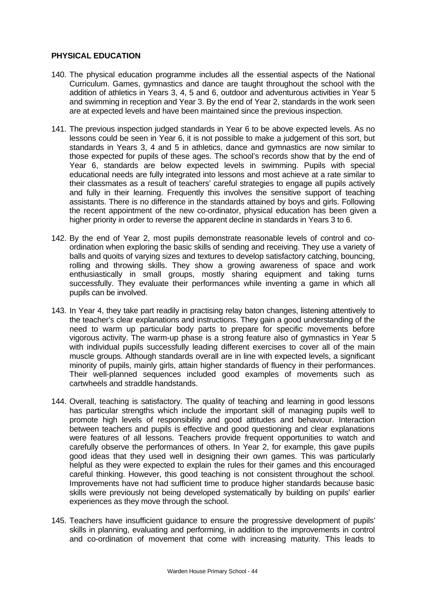## **PHYSICAL EDUCATION**

- 140. The physical education programme includes all the essential aspects of the National Curriculum. Games, gymnastics and dance are taught throughout the school with the addition of athletics in Years 3, 4, 5 and 6, outdoor and adventurous activities in Year 5 and swimming in reception and Year 3. By the end of Year 2, standards in the work seen are at expected levels and have been maintained since the previous inspection.
- 141. The previous inspection judged standards in Year 6 to be above expected levels. As no lessons could be seen in Year 6, it is not possible to make a judgement of this sort, but standards in Years 3, 4 and 5 in athletics, dance and gymnastics are now similar to those expected for pupils of these ages. The school's records show that by the end of Year 6, standards are below expected levels in swimming. Pupils with special educational needs are fully integrated into lessons and most achieve at a rate similar to their classmates as a result of teachers' careful strategies to engage all pupils actively and fully in their learning. Frequently this involves the sensitive support of teaching assistants. There is no difference in the standards attained by boys and girls. Following the recent appointment of the new co-ordinator, physical education has been given a higher priority in order to reverse the apparent decline in standards in Years 3 to 6.
- 142. By the end of Year 2, most pupils demonstrate reasonable levels of control and coordination when exploring the basic skills of sending and receiving. They use a variety of balls and quoits of varying sizes and textures to develop satisfactory catching, bouncing, rolling and throwing skills. They show a growing awareness of space and work enthusiastically in small groups, mostly sharing equipment and taking turns successfully. They evaluate their performances while inventing a game in which all pupils can be involved.
- 143. In Year 4, they take part readily in practising relay baton changes, listening attentively to the teacher's clear explanations and instructions. They gain a good understanding of the need to warm up particular body parts to prepare for specific movements before vigorous activity. The warm-up phase is a strong feature also of gymnastics in Year 5 with individual pupils successfully leading different exercises to cover all of the main muscle groups. Although standards overall are in line with expected levels, a significant minority of pupils, mainly girls, attain higher standards of fluency in their performances. Their well-planned sequences included good examples of movements such as cartwheels and straddle handstands.
- 144. Overall, teaching is satisfactory. The quality of teaching and learning in good lessons has particular strengths which include the important skill of managing pupils well to promote high levels of responsibility and good attitudes and behaviour. Interaction between teachers and pupils is effective and good questioning and clear explanations were features of all lessons. Teachers provide frequent opportunities to watch and carefully observe the performances of others. In Year 2, for example, this gave pupils good ideas that they used well in designing their own games. This was particularly helpful as they were expected to explain the rules for their games and this encouraged careful thinking. However, this good teaching is not consistent throughout the school. Improvements have not had sufficient time to produce higher standards because basic skills were previously not being developed systematically by building on pupils' earlier experiences as they move through the school.
- 145. Teachers have insufficient guidance to ensure the progressive development of pupils' skills in planning, evaluating and performing, in addition to the improvements in control and co-ordination of movement that come with increasing maturity. This leads to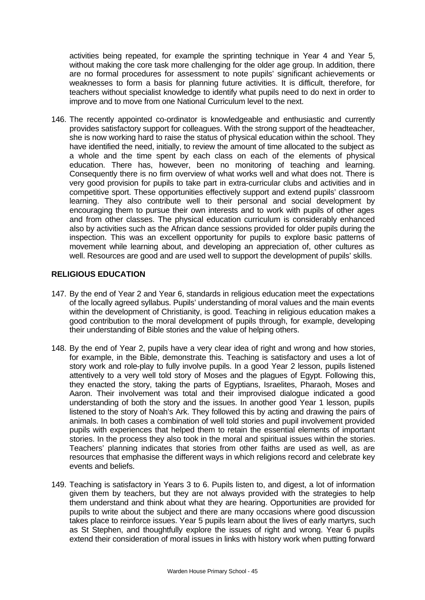activities being repeated, for example the sprinting technique in Year 4 and Year 5, without making the core task more challenging for the older age group. In addition, there are no formal procedures for assessment to note pupils' significant achievements or weaknesses to form a basis for planning future activities. It is difficult, therefore, for teachers without specialist knowledge to identify what pupils need to do next in order to improve and to move from one National Curriculum level to the next.

146. The recently appointed co-ordinator is knowledgeable and enthusiastic and currently provides satisfactory support for colleagues. With the strong support of the headteacher, she is now working hard to raise the status of physical education within the school. They have identified the need, initially, to review the amount of time allocated to the subject as a whole and the time spent by each class on each of the elements of physical education. There has, however, been no monitoring of teaching and learning. Consequently there is no firm overview of what works well and what does not. There is very good provision for pupils to take part in extra-curricular clubs and activities and in competitive sport. These opportunities effectively support and extend pupils' classroom learning. They also contribute well to their personal and social development by encouraging them to pursue their own interests and to work with pupils of other ages and from other classes. The physical education curriculum is considerably enhanced also by activities such as the African dance sessions provided for older pupils during the inspection. This was an excellent opportunity for pupils to explore basic patterns of movement while learning about, and developing an appreciation of, other cultures as well. Resources are good and are used well to support the development of pupils' skills.

## **RELIGIOUS EDUCATION**

- 147. By the end of Year 2 and Year 6, standards in religious education meet the expectations of the locally agreed syllabus. Pupils' understanding of moral values and the main events within the development of Christianity, is good. Teaching in religious education makes a good contribution to the moral development of pupils through, for example, developing their understanding of Bible stories and the value of helping others.
- 148. By the end of Year 2, pupils have a very clear idea of right and wrong and how stories, for example, in the Bible, demonstrate this. Teaching is satisfactory and uses a lot of story work and role-play to fully involve pupils. In a good Year 2 lesson, pupils listened attentively to a very well told story of Moses and the plagues of Egypt. Following this, they enacted the story, taking the parts of Egyptians, Israelites, Pharaoh, Moses and Aaron. Their involvement was total and their improvised dialogue indicated a good understanding of both the story and the issues. In another good Year 1 lesson, pupils listened to the story of Noah's Ark. They followed this by acting and drawing the pairs of animals. In both cases a combination of well told stories and pupil involvement provided pupils with experiences that helped them to retain the essential elements of important stories. In the process they also took in the moral and spiritual issues within the stories. Teachers' planning indicates that stories from other faiths are used as well, as are resources that emphasise the different ways in which religions record and celebrate key events and beliefs.
- 149. Teaching is satisfactory in Years 3 to 6. Pupils listen to, and digest, a lot of information given them by teachers, but they are not always provided with the strategies to help them understand and think about what they are hearing. Opportunities are provided for pupils to write about the subject and there are many occasions where good discussion takes place to reinforce issues. Year 5 pupils learn about the lives of early martyrs, such as St Stephen, and thoughtfully explore the issues of right and wrong. Year 6 pupils extend their consideration of moral issues in links with history work when putting forward